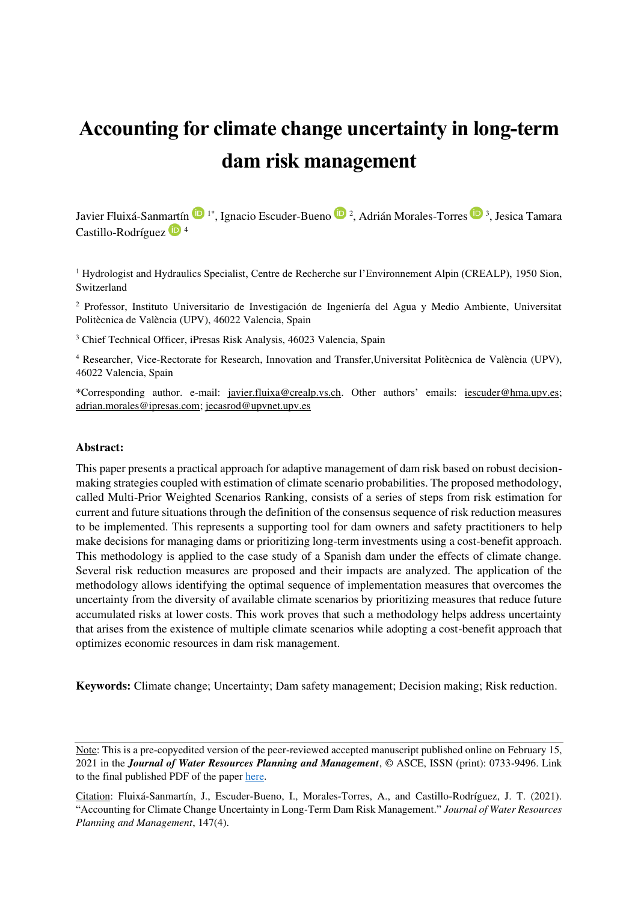# **Accounting for climate change uncertainty in long-term dam risk management**

JavierFluixá-Sanmartín D<sup>1\*</sup>, Ignacio Escuder-Bueno D<sup>2</sup>, Adrián Morales-Torres D<sup>3</sup>, Jesica Tamara Castillo-Rodríguez<sup>1</sup><sup>4</sup>

<sup>1</sup> Hydrologist and Hydraulics Specialist, Centre de Recherche sur l'Environnement Alpin (CREALP), 1950 Sion, Switzerland

<sup>2</sup> Professor, Instituto Universitario de Investigación de Ingeniería del Agua y Medio Ambiente, Universitat Politècnica de València (UPV), 46022 Valencia, Spain

<sup>3</sup> Chief Technical Officer, iPresas Risk Analysis, 46023 Valencia, Spain

4 Researcher, Vice-Rectorate for Research, Innovation and Transfer,Universitat Politècnica de València (UPV), 46022 Valencia, Spain

\*Corresponding author. e-mail: [javier.fluixa@crealp.vs.ch](mailto:javier.fluixa@crealp.vs.ch). Other authors' emails: [iescuder@hma.upv.es;](mailto:iescuder@hma.upv.es) [adrian.morales@ipresas.com;](mailto:adrian.morales@ipresas.com) [jecasrod@upvnet.upv.es](mailto:jecasrod@upvnet.upv.es) 

#### **Abstract:**

This paper presents a practical approach for adaptive management of dam risk based on robust decisionmaking strategies coupled with estimation of climate scenario probabilities. The proposed methodology, called Multi-Prior Weighted Scenarios Ranking, consists of a series of steps from risk estimation for current and future situations through the definition of the consensus sequence of risk reduction measures to be implemented. This represents a supporting tool for dam owners and safety practitioners to help make decisions for managing dams or prioritizing long-term investments using a cost-benefit approach. This methodology is applied to the case study of a Spanish dam under the effects of climate change. Several risk reduction measures are proposed and their impacts are analyzed. The application of the methodology allows identifying the optimal sequence of implementation measures that overcomes the uncertainty from the diversity of available climate scenarios by prioritizing measures that reduce future accumulated risks at lower costs. This work proves that such a methodology helps address uncertainty that arises from the existence of multiple climate scenarios while adopting a cost-benefit approach that optimizes economic resources in dam risk management.

**Keywords:** Climate change; Uncertainty; Dam safety management; Decision making; Risk reduction.

Note: This is a pre-copyedited version of the peer-reviewed accepted manuscript published online on February 15, 2021 in the *Journal of Water Resources Planning and Management*, © ASCE, ISSN (print): 0733-9496. Link to the final published PDF of the paper [here.](https://ascelibrary.org/doi/abs/10.1061/(ASCE)WR.1943-5452.0001355) 

Citation: Fluixá-Sanmartín, J., Escuder-Bueno, I., Morales-Torres, A., and Castillo-Rodríguez, J. T. (2021). "Accounting for Climate Change Uncertainty in Long-Term Dam Risk Management." *Journal of Water Resources Planning and Management*, 147(4).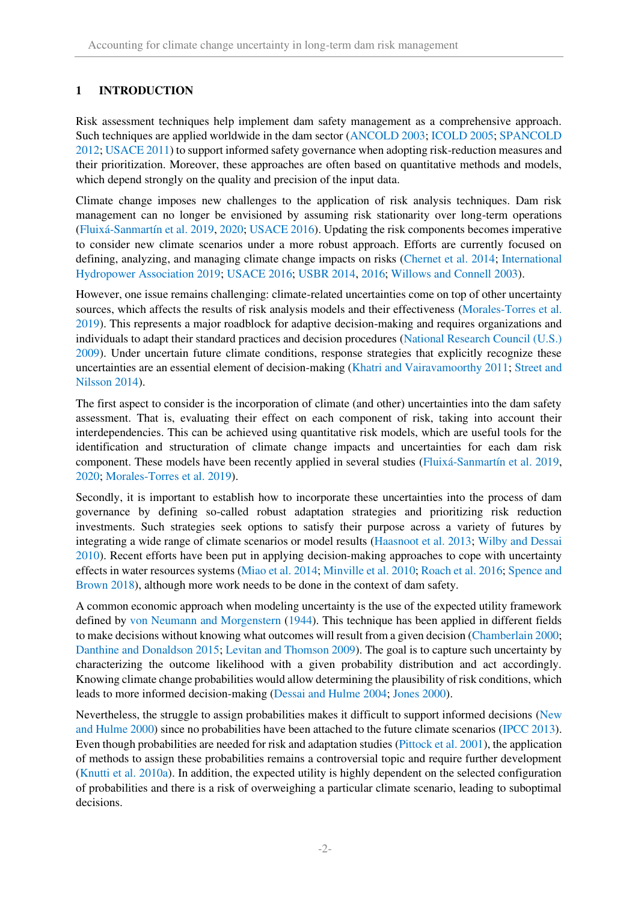# **1 INTRODUCTION**

Risk assessment techniques help implement dam safety management as a comprehensive approach. Such techniques are applied worldwide in the dam sector (ANCOLD 2003; ICOLD 2005; SPANCOLD 2012; USACE 2011) to support informed safety governance when adopting risk-reduction measures and their prioritization. Moreover, these approaches are often based on quantitative methods and models, which depend strongly on the quality and precision of the input data.

Climate change imposes new challenges to the application of risk analysis techniques. Dam risk management can no longer be envisioned by assuming risk stationarity over long-term operations (Fluixá-Sanmartín et al. 2019, 2020; USACE 2016). Updating the risk components becomes imperative to consider new climate scenarios under a more robust approach. Efforts are currently focused on defining, analyzing, and managing climate change impacts on risks (Chernet et al. 2014; International Hydropower Association 2019; USACE 2016; USBR 2014, 2016; Willows and Connell 2003).

However, one issue remains challenging: climate-related uncertainties come on top of other uncertainty sources, which affects the results of risk analysis models and their effectiveness (Morales-Torres et al. 2019). This represents a major roadblock for adaptive decision-making and requires organizations and individuals to adapt their standard practices and decision procedures (National Research Council (U.S.) 2009). Under uncertain future climate conditions, response strategies that explicitly recognize these uncertainties are an essential element of decision-making (Khatri and Vairavamoorthy 2011; Street and Nilsson 2014).

The first aspect to consider is the incorporation of climate (and other) uncertainties into the dam safety assessment. That is, evaluating their effect on each component of risk, taking into account their interdependencies. This can be achieved using quantitative risk models, which are useful tools for the identification and structuration of climate change impacts and uncertainties for each dam risk component. These models have been recently applied in several studies (Fluixá-Sanmartín et al. 2019, 2020; Morales-Torres et al. 2019).

Secondly, it is important to establish how to incorporate these uncertainties into the process of dam governance by defining so-called robust adaptation strategies and prioritizing risk reduction investments. Such strategies seek options to satisfy their purpose across a variety of futures by integrating a wide range of climate scenarios or model results (Haasnoot et al. 2013; Wilby and Dessai 2010). Recent efforts have been put in applying decision-making approaches to cope with uncertainty effects in water resources systems (Miao et al. 2014; Minville et al. 2010; Roach et al. 2016; Spence and Brown 2018), although more work needs to be done in the context of dam safety.

A common economic approach when modeling uncertainty is the use of the expected utility framework defined by von Neumann and Morgenstern (1944). This technique has been applied in different fields to make decisions without knowing what outcomes will result from a given decision (Chamberlain 2000; Danthine and Donaldson 2015; Levitan and Thomson 2009). The goal is to capture such uncertainty by characterizing the outcome likelihood with a given probability distribution and act accordingly. Knowing climate change probabilities would allow determining the plausibility of risk conditions, which leads to more informed decision-making (Dessai and Hulme 2004; Jones 2000).

Nevertheless, the struggle to assign probabilities makes it difficult to support informed decisions (New and Hulme 2000) since no probabilities have been attached to the future climate scenarios (IPCC 2013). Even though probabilities are needed for risk and adaptation studies (Pittock et al. 2001), the application of methods to assign these probabilities remains a controversial topic and require further development (Knutti et al. 2010a). In addition, the expected utility is highly dependent on the selected configuration of probabilities and there is a risk of overweighing a particular climate scenario, leading to suboptimal decisions.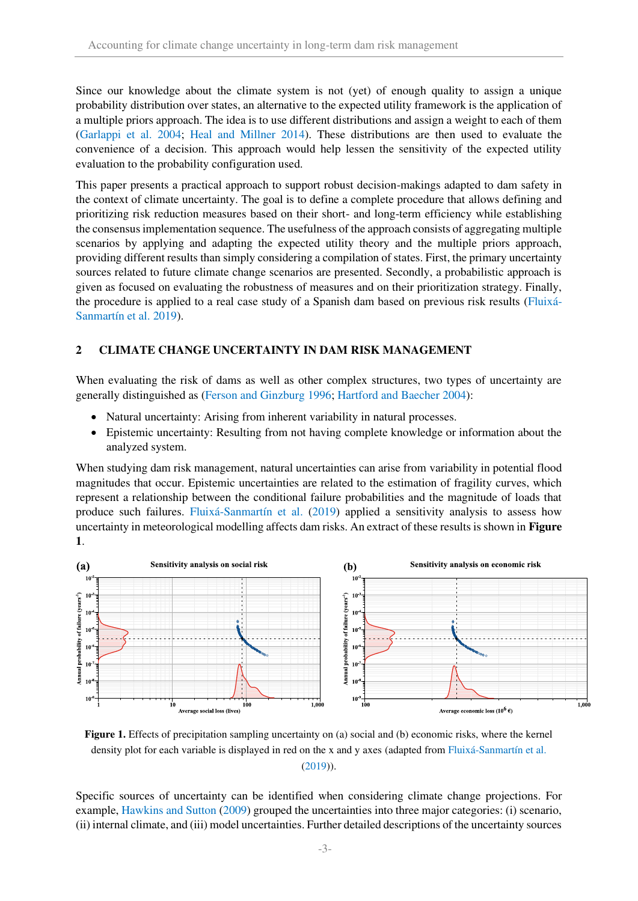Since our knowledge about the climate system is not (yet) of enough quality to assign a unique probability distribution over states, an alternative to the expected utility framework is the application of a multiple priors approach. The idea is to use different distributions and assign a weight to each of them (Garlappi et al. 2004; Heal and Millner 2014). These distributions are then used to evaluate the convenience of a decision. This approach would help lessen the sensitivity of the expected utility evaluation to the probability configuration used.

This paper presents a practical approach to support robust decision-makings adapted to dam safety in the context of climate uncertainty. The goal is to define a complete procedure that allows defining and prioritizing risk reduction measures based on their short- and long-term efficiency while establishing the consensus implementation sequence. The usefulness of the approach consists of aggregating multiple scenarios by applying and adapting the expected utility theory and the multiple priors approach, providing different results than simply considering a compilation of states. First, the primary uncertainty sources related to future climate change scenarios are presented. Secondly, a probabilistic approach is given as focused on evaluating the robustness of measures and on their prioritization strategy. Finally, the procedure is applied to a real case study of a Spanish dam based on previous risk results (Fluixá-Sanmartín et al. 2019).

## **2 CLIMATE CHANGE UNCERTAINTY IN DAM RISK MANAGEMENT**

When evaluating the risk of dams as well as other complex structures, two types of uncertainty are generally distinguished as (Ferson and Ginzburg 1996; Hartford and Baecher 2004):

- Natural uncertainty: Arising from inherent variability in natural processes.
- Epistemic uncertainty: Resulting from not having complete knowledge or information about the analyzed system.

When studying dam risk management, natural uncertainties can arise from variability in potential flood magnitudes that occur. Epistemic uncertainties are related to the estimation of fragility curves, which represent a relationship between the conditional failure probabilities and the magnitude of loads that produce such failures. Fluixá-Sanmartín et al. (2019) applied a sensitivity analysis to assess how uncertainty in meteorological modelling affects dam risks. An extract of these results is shown in **[Figure](#page-2-0)  [1](#page-2-0)**.



<span id="page-2-0"></span>**Figure 1.** Effects of precipitation sampling uncertainty on (a) social and (b) economic risks, where the kernel density plot for each variable is displayed in red on the x and y axes (adapted from Fluixá-Sanmartín et al. (2019)).

Specific sources of uncertainty can be identified when considering climate change projections. For example, Hawkins and Sutton (2009) grouped the uncertainties into three major categories: (i) scenario, (ii) internal climate, and (iii) model uncertainties. Further detailed descriptions of the uncertainty sources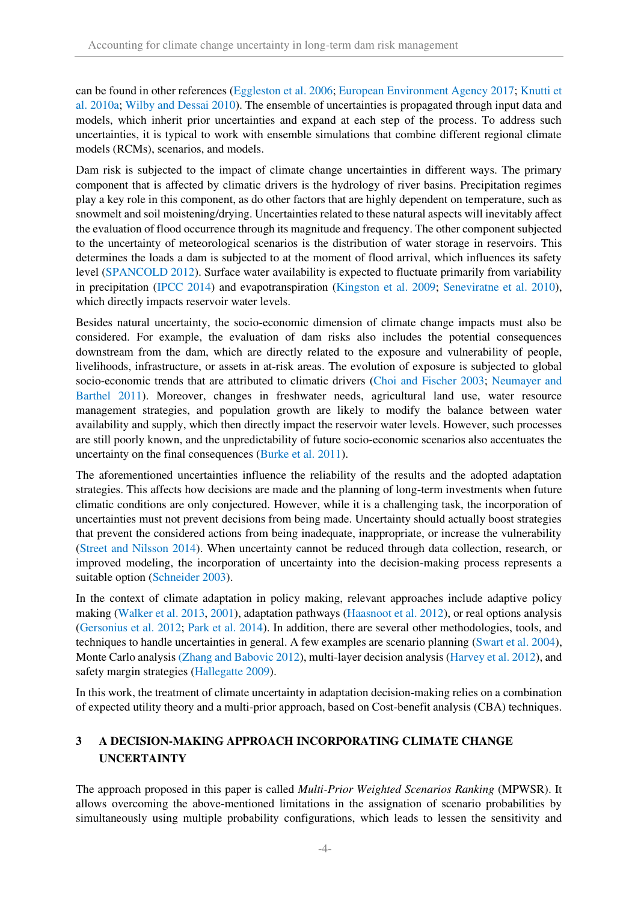can be found in other references (Eggleston et al. 2006; European Environment Agency 2017; Knutti et al. 2010a; Wilby and Dessai 2010). The ensemble of uncertainties is propagated through input data and models, which inherit prior uncertainties and expand at each step of the process. To address such uncertainties, it is typical to work with ensemble simulations that combine different regional climate models (RCMs), scenarios, and models.

Dam risk is subjected to the impact of climate change uncertainties in different ways. The primary component that is affected by climatic drivers is the hydrology of river basins. Precipitation regimes play a key role in this component, as do other factors that are highly dependent on temperature, such as snowmelt and soil moistening/drying. Uncertainties related to these natural aspects will inevitably affect the evaluation of flood occurrence through its magnitude and frequency. The other component subjected to the uncertainty of meteorological scenarios is the distribution of water storage in reservoirs. This determines the loads a dam is subjected to at the moment of flood arrival, which influences its safety level (SPANCOLD 2012). Surface water availability is expected to fluctuate primarily from variability in precipitation (IPCC 2014) and evapotranspiration (Kingston et al. 2009; Seneviratne et al. 2010), which directly impacts reservoir water levels.

Besides natural uncertainty, the socio-economic dimension of climate change impacts must also be considered. For example, the evaluation of dam risks also includes the potential consequences downstream from the dam, which are directly related to the exposure and vulnerability of people, livelihoods, infrastructure, or assets in at-risk areas. The evolution of exposure is subjected to global socio-economic trends that are attributed to climatic drivers (Choi and Fischer 2003; Neumayer and Barthel 2011). Moreover, changes in freshwater needs, agricultural land use, water resource management strategies, and population growth are likely to modify the balance between water availability and supply, which then directly impact the reservoir water levels. However, such processes are still poorly known, and the unpredictability of future socio-economic scenarios also accentuates the uncertainty on the final consequences (Burke et al. 2011).

The aforementioned uncertainties influence the reliability of the results and the adopted adaptation strategies. This affects how decisions are made and the planning of long-term investments when future climatic conditions are only conjectured. However, while it is a challenging task, the incorporation of uncertainties must not prevent decisions from being made. Uncertainty should actually boost strategies that prevent the considered actions from being inadequate, inappropriate, or increase the vulnerability (Street and Nilsson 2014). When uncertainty cannot be reduced through data collection, research, or improved modeling, the incorporation of uncertainty into the decision-making process represents a suitable option (Schneider 2003).

In the context of climate adaptation in policy making, relevant approaches include adaptive policy making (Walker et al. 2013, 2001), adaptation pathways (Haasnoot et al. 2012), or real options analysis (Gersonius et al. 2012; Park et al. 2014). In addition, there are several other methodologies, tools, and techniques to handle uncertainties in general. A few examples are scenario planning (Swart et al. 2004), Monte Carlo analysis (Zhang and Babovic 2012), multi-layer decision analysis (Harvey et al. 2012), and safety margin strategies (Hallegatte 2009).

In this work, the treatment of climate uncertainty in adaptation decision-making relies on a combination of expected utility theory and a multi-prior approach, based on Cost-benefit analysis (CBA) techniques.

# **3 A DECISION-MAKING APPROACH INCORPORATING CLIMATE CHANGE UNCERTAINTY**

The approach proposed in this paper is called *Multi-Prior Weighted Scenarios Ranking* (MPWSR). It allows overcoming the above-mentioned limitations in the assignation of scenario probabilities by simultaneously using multiple probability configurations, which leads to lessen the sensitivity and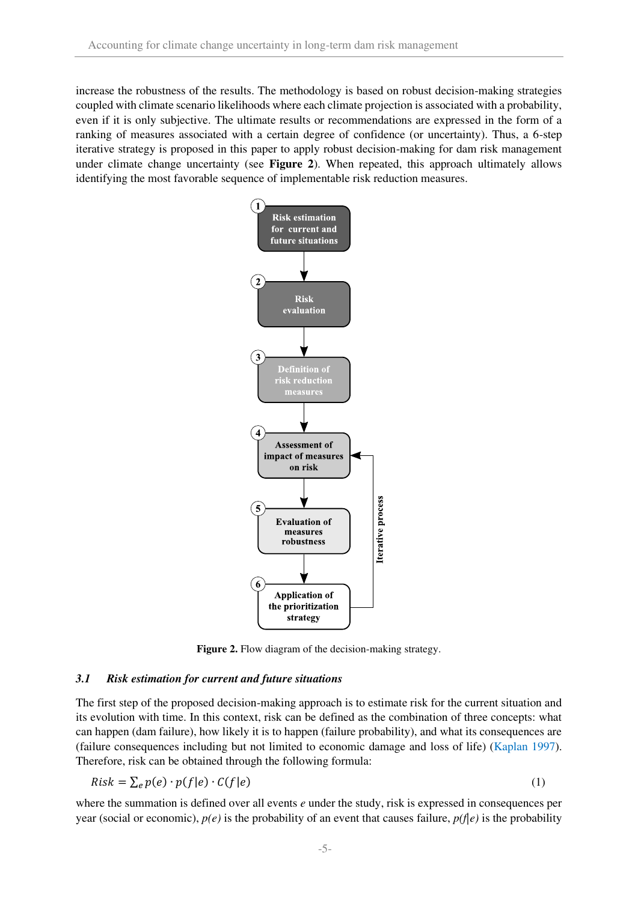increase the robustness of the results. The methodology is based on robust decision-making strategies coupled with climate scenario likelihoods where each climate projection is associated with a probability, even if it is only subjective. The ultimate results or recommendations are expressed in the form of a ranking of measures associated with a certain degree of confidence (or uncertainty). Thus, a 6-step iterative strategy is proposed in this paper to apply robust decision-making for dam risk management under climate change uncertainty (see **[Figure 2](#page-4-0)**). When repeated, this approach ultimately allows identifying the most favorable sequence of implementable risk reduction measures.



Figure 2. Flow diagram of the decision-making strategy.

#### <span id="page-4-0"></span>*3.1 Risk estimation for current and future situations*

The first step of the proposed decision-making approach is to estimate risk for the current situation and its evolution with time. In this context, risk can be defined as the combination of three concepts: what can happen (dam failure), how likely it is to happen (failure probability), and what its consequences are (failure consequences including but not limited to economic damage and loss of life) (Kaplan 1997). Therefore, risk can be obtained through the following formula:

$$
Risk = \sum_{e} p(e) \cdot p(f|e) \cdot C(f|e)
$$
\n(1)

where the summation is defined over all events *e* under the study, risk is expressed in consequences per year (social or economic),  $p(e)$  is the probability of an event that causes failure,  $p(f|e)$  is the probability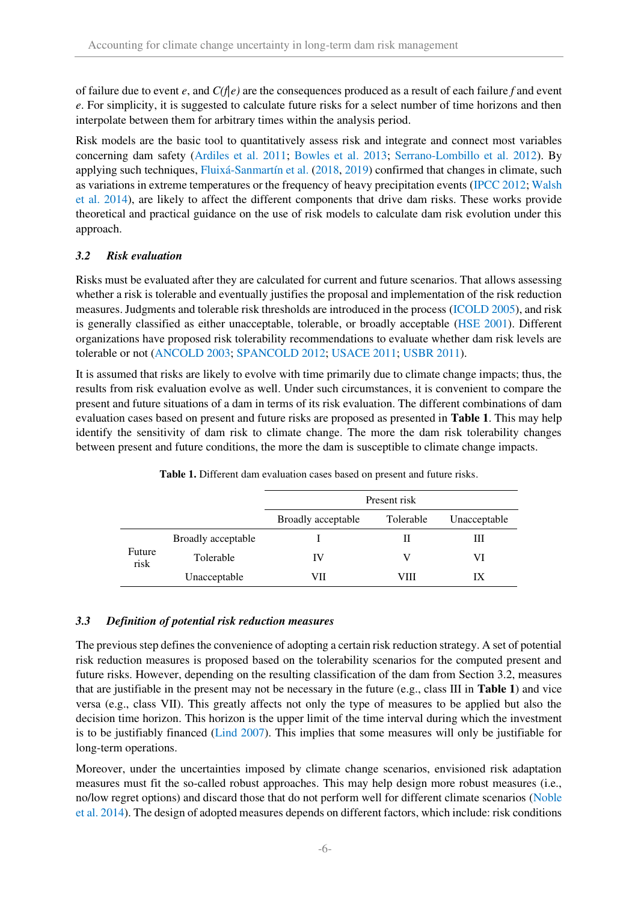of failure due to event *e*, and *C(f|e)* are the consequences produced as a result of each failure *f* and event *e*. For simplicity, it is suggested to calculate future risks for a select number of time horizons and then interpolate between them for arbitrary times within the analysis period.

Risk models are the basic tool to quantitatively assess risk and integrate and connect most variables concerning dam safety (Ardiles et al. 2011; Bowles et al. 2013; Serrano-Lombillo et al. 2012). By applying such techniques, Fluixá-Sanmartín et al. (2018, 2019) confirmed that changes in climate, such as variations in extreme temperatures or the frequency of heavy precipitation events (IPCC 2012; Walsh et al. 2014), are likely to affect the different components that drive dam risks. These works provide theoretical and practical guidance on the use of risk models to calculate dam risk evolution under this approach.

## <span id="page-5-1"></span>*3.2 Risk evaluation*

Risks must be evaluated after they are calculated for current and future scenarios. That allows assessing whether a risk is tolerable and eventually justifies the proposal and implementation of the risk reduction measures. Judgments and tolerable risk thresholds are introduced in the process (ICOLD 2005), and risk is generally classified as either unacceptable, tolerable, or broadly acceptable (HSE 2001). Different organizations have proposed risk tolerability recommendations to evaluate whether dam risk levels are tolerable or not (ANCOLD 2003; SPANCOLD 2012; USACE 2011; USBR 2011).

It is assumed that risks are likely to evolve with time primarily due to climate change impacts; thus, the results from risk evaluation evolve as well. Under such circumstances, it is convenient to compare the present and future situations of a dam in terms of its risk evaluation. The different combinations of dam evaluation cases based on present and future risks are proposed as presented in **[Table 1](#page-5-0)**. This may help identify the sensitivity of dam risk to climate change. The more the dam risk tolerability changes between present and future conditions, the more the dam is susceptible to climate change impacts.

<span id="page-5-0"></span>

|                |                    | Present risk       |           |              |  |
|----------------|--------------------|--------------------|-----------|--------------|--|
|                |                    | Broadly acceptable | Tolerable | Unacceptable |  |
| Future<br>risk | Broadly acceptable |                    | Н         | Ш            |  |
|                | Tolerable          | IV                 | V         | VI           |  |
|                | Unacceptable       | VП                 | VIII      | IХ           |  |

**Table 1.** Different dam evaluation cases based on present and future risks.

#### *3.3 Definition of potential risk reduction measures*

The previous step defines the convenience of adopting a certain risk reduction strategy. A set of potential risk reduction measures is proposed based on the tolerability scenarios for the computed present and future risks. However, depending on the resulting classification of the dam from Section [3.2,](#page-5-1) measures that are justifiable in the present may not be necessary in the future (e.g., class III in **[Table 1](#page-5-0)**) and vice versa (e.g., class VII). This greatly affects not only the type of measures to be applied but also the decision time horizon. This horizon is the upper limit of the time interval during which the investment is to be justifiably financed (Lind 2007). This implies that some measures will only be justifiable for long-term operations.

Moreover, under the uncertainties imposed by climate change scenarios, envisioned risk adaptation measures must fit the so-called robust approaches. This may help design more robust measures (i.e., no/low regret options) and discard those that do not perform well for different climate scenarios (Noble et al. 2014). The design of adopted measures depends on different factors, which include: risk conditions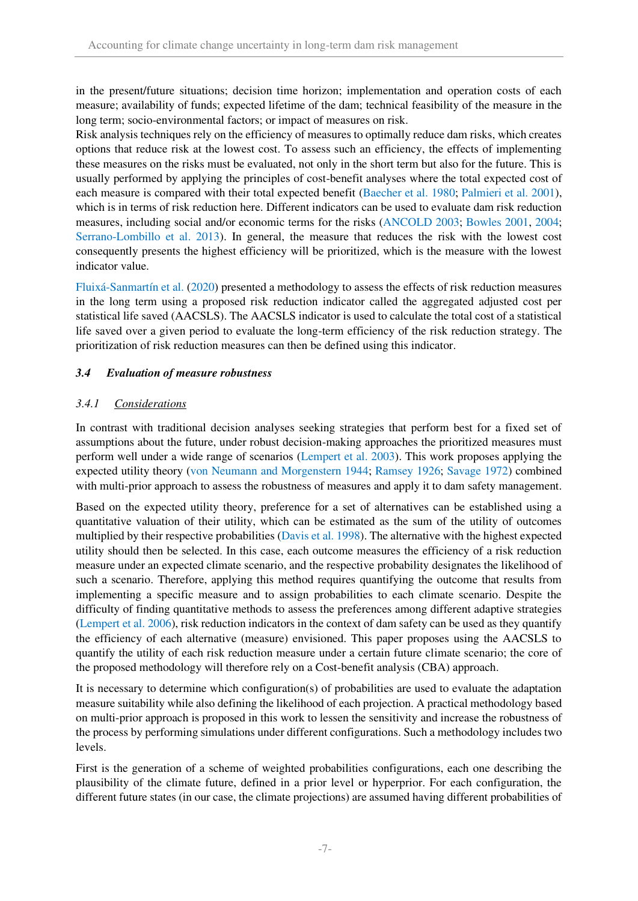in the present/future situations; decision time horizon; implementation and operation costs of each measure; availability of funds; expected lifetime of the dam; technical feasibility of the measure in the long term; socio-environmental factors; or impact of measures on risk.

Risk analysis techniques rely on the efficiency of measures to optimally reduce dam risks, which creates options that reduce risk at the lowest cost. To assess such an efficiency, the effects of implementing these measures on the risks must be evaluated, not only in the short term but also for the future. This is usually performed by applying the principles of cost-benefit analyses where the total expected cost of each measure is compared with their total expected benefit (Baecher et al. 1980; Palmieri et al. 2001), which is in terms of risk reduction here. Different indicators can be used to evaluate dam risk reduction measures, including social and/or economic terms for the risks (ANCOLD 2003; Bowles 2001, 2004; Serrano-Lombillo et al. 2013). In general, the measure that reduces the risk with the lowest cost consequently presents the highest efficiency will be prioritized, which is the measure with the lowest indicator value.

Fluixá-Sanmartín et al. (2020) presented a methodology to assess the effects of risk reduction measures in the long term using a proposed risk reduction indicator called the aggregated adjusted cost per statistical life saved (AACSLS). The AACSLS indicator is used to calculate the total cost of a statistical life saved over a given period to evaluate the long-term efficiency of the risk reduction strategy. The prioritization of risk reduction measures can then be defined using this indicator.

## *3.4 Evaluation of measure robustness*

## *3.4.1 Considerations*

In contrast with traditional decision analyses seeking strategies that perform best for a fixed set of assumptions about the future, under robust decision-making approaches the prioritized measures must perform well under a wide range of scenarios (Lempert et al. 2003). This work proposes applying the expected utility theory (von Neumann and Morgenstern 1944; Ramsey 1926; Savage 1972) combined with multi-prior approach to assess the robustness of measures and apply it to dam safety management.

Based on the expected utility theory, preference for a set of alternatives can be established using a quantitative valuation of their utility, which can be estimated as the sum of the utility of outcomes multiplied by their respective probabilities (Davis et al. 1998). The alternative with the highest expected utility should then be selected. In this case, each outcome measures the efficiency of a risk reduction measure under an expected climate scenario, and the respective probability designates the likelihood of such a scenario. Therefore, applying this method requires quantifying the outcome that results from implementing a specific measure and to assign probabilities to each climate scenario. Despite the difficulty of finding quantitative methods to assess the preferences among different adaptive strategies (Lempert et al. 2006), risk reduction indicators in the context of dam safety can be used as they quantify the efficiency of each alternative (measure) envisioned. This paper proposes using the AACSLS to quantify the utility of each risk reduction measure under a certain future climate scenario; the core of the proposed methodology will therefore rely on a Cost-benefit analysis (CBA) approach.

It is necessary to determine which configuration(s) of probabilities are used to evaluate the adaptation measure suitability while also defining the likelihood of each projection. A practical methodology based on multi-prior approach is proposed in this work to lessen the sensitivity and increase the robustness of the process by performing simulations under different configurations. Such a methodology includes two levels.

First is the generation of a scheme of weighted probabilities configurations, each one describing the plausibility of the climate future, defined in a prior level or hyperprior. For each configuration, the different future states (in our case, the climate projections) are assumed having different probabilities of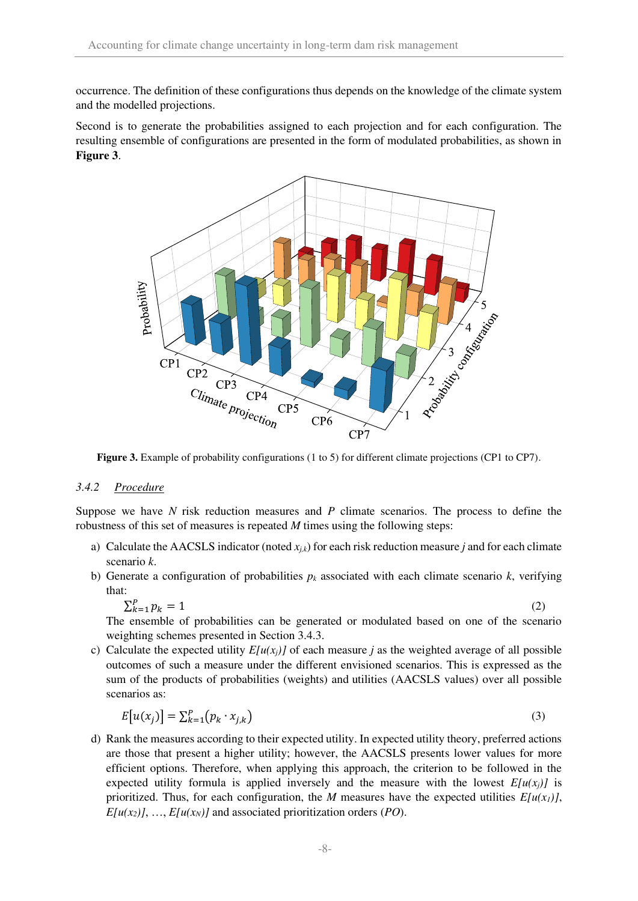occurrence. The definition of these configurations thus depends on the knowledge of the climate system and the modelled projections.

Second is to generate the probabilities assigned to each projection and for each configuration. The resulting ensemble of configurations are presented in the form of modulated probabilities, as shown in **[Figure 3](#page-7-0)**.



<span id="page-7-0"></span>**Figure 3.** Example of probability configurations (1 to 5) for different climate projections (CP1 to CP7).

#### <span id="page-7-1"></span>*3.4.2 Procedure*

Suppose we have *N* risk reduction measures and *P* climate scenarios. The process to define the robustness of this set of measures is repeated *M* times using the following steps:

- a) Calculate the AACSLS indicator (noted  $x_i$ ) for each risk reduction measure *j* and for each climate scenario *k*.
- b) Generate a configuration of probabilities  $p_k$  associated with each climate scenario  $k$ , verifying that:

$$
\sum_{k=1}^{P} p_k = 1 \tag{2}
$$

The ensemble of probabilities can be generated or modulated based on one of the scenario weighting schemes presented in Section [3.4.3.](#page-8-0)

c) Calculate the expected utility  $E[u(x_i)]$  of each measure *j* as the weighted average of all possible outcomes of such a measure under the different envisioned scenarios. This is expressed as the sum of the products of probabilities (weights) and utilities (AACSLS values) over all possible scenarios as:

$$
E[u(x_j)] = \sum_{k=1}^{P} (p_k \cdot x_{j,k})
$$
\n(3)

d) Rank the measures according to their expected utility. In expected utility theory, preferred actions are those that present a higher utility; however, the AACSLS presents lower values for more efficient options. Therefore, when applying this approach, the criterion to be followed in the expected utility formula is applied inversely and the measure with the lowest  $E[u(x_i)]$  is prioritized. Thus, for each configuration, the *M* measures have the expected utilities  $E[u(x_1)]$ ,  $E[u(x_2)]$ , ...,  $E[u(x_N)]$  and associated prioritization orders (*PO*).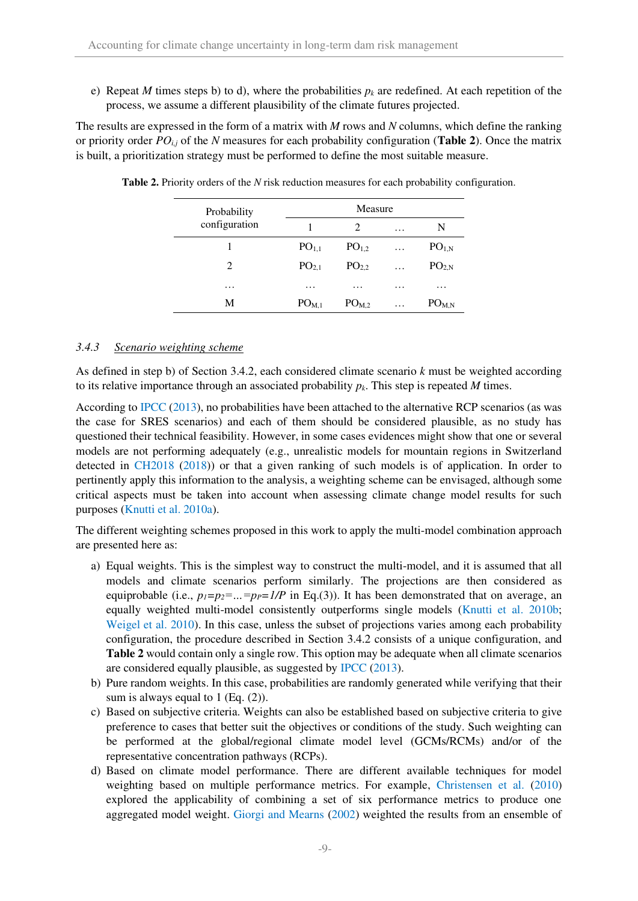e) Repeat *M* times steps b) to d), where the probabilities  $p_k$  are redefined. At each repetition of the process, we assume a different plausibility of the climate futures projected.

The results are expressed in the form of a matrix with *M* rows and *N* columns, which define the ranking or priority order *POi,j* of the *N* measures for each probability configuration (**[Table 2](#page-8-1)**). Once the matrix is built, a prioritization strategy must be performed to define the most suitable measure.

| Probability       | Measure           |                   |   |                   |  |
|-------------------|-------------------|-------------------|---|-------------------|--|
| configuration     |                   | 2                 | . | N                 |  |
|                   | PO <sub>1,1</sub> | PO <sub>1.2</sub> | . | PO <sub>1,N</sub> |  |
| 2                 | PO <sub>2.1</sub> | PO <sub>2.2</sub> | . | PO <sub>2.N</sub> |  |
| $\cdot\cdot\cdot$ | .                 | .                 | . | $\cdot$           |  |
| M                 | PO <sub>M,1</sub> | PO <sub>M.2</sub> | . | PO <sub>M,N</sub> |  |

<span id="page-8-1"></span>**Table 2.** Priority orders of the *N* risk reduction measures for each probability configuration.

## <span id="page-8-0"></span>*3.4.3 Scenario weighting scheme*

As defined in step b) of Section [3.4.2,](#page-7-1) each considered climate scenario *k* must be weighted according to its relative importance through an associated probability *pk*. This step is repeated *M* times.

According to IPCC (2013), no probabilities have been attached to the alternative RCP scenarios (as was the case for SRES scenarios) and each of them should be considered plausible, as no study has questioned their technical feasibility. However, in some cases evidences might show that one or several models are not performing adequately (e.g., unrealistic models for mountain regions in Switzerland detected in CH2018 (2018)) or that a given ranking of such models is of application. In order to pertinently apply this information to the analysis, a weighting scheme can be envisaged, although some critical aspects must be taken into account when assessing climate change model results for such purposes (Knutti et al. 2010a).

The different weighting schemes proposed in this work to apply the multi-model combination approach are presented here as:

- a) Equal weights. This is the simplest way to construct the multi-model, and it is assumed that all models and climate scenarios perform similarly. The projections are then considered as equiprobable (i.e.,  $p_1=p_2=...=p_P=1/P$  in Eq.(3)). It has been demonstrated that on average, an equally weighted multi-model consistently outperforms single models (Knutti et al. 2010b; Weigel et al. 2010). In this case, unless the subset of projections varies among each probability configuration, the procedure described in Section [3.4.2](#page-7-1) consists of a unique configuration, and **[Table 2](#page-8-1)** would contain only a single row. This option may be adequate when all climate scenarios are considered equally plausible, as suggested by IPCC (2013).
- b) Pure random weights. In this case, probabilities are randomly generated while verifying that their sum is always equal to 1 (Eq.  $(2)$ ).
- c) Based on subjective criteria. Weights can also be established based on subjective criteria to give preference to cases that better suit the objectives or conditions of the study. Such weighting can be performed at the global/regional climate model level (GCMs/RCMs) and/or of the representative concentration pathways (RCPs).
- d) Based on climate model performance. There are different available techniques for model weighting based on multiple performance metrics. For example, Christensen et al. (2010) explored the applicability of combining a set of six performance metrics to produce one aggregated model weight. Giorgi and Mearns (2002) weighted the results from an ensemble of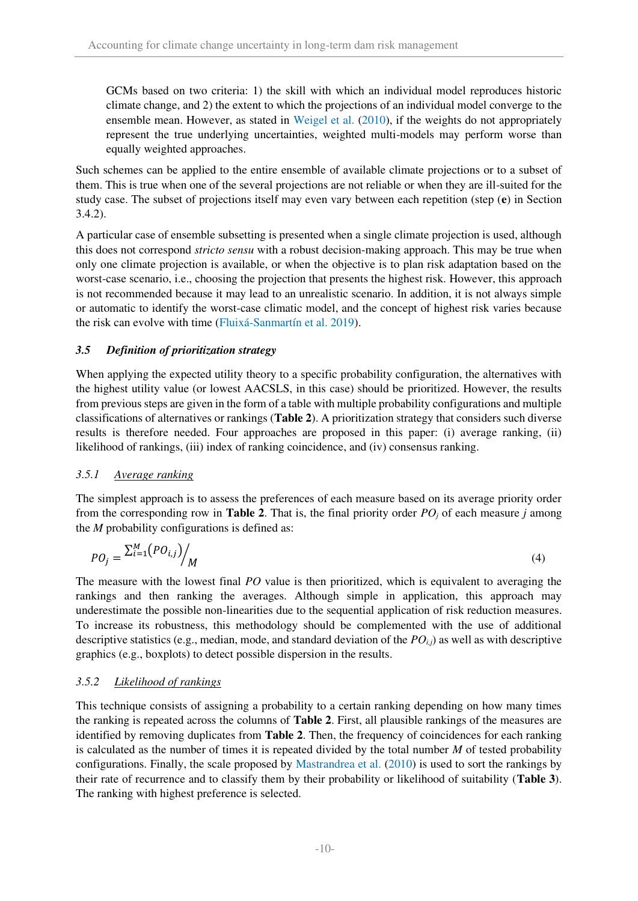GCMs based on two criteria: 1) the skill with which an individual model reproduces historic climate change, and 2) the extent to which the projections of an individual model converge to the ensemble mean. However, as stated in Weigel et al. (2010), if the weights do not appropriately represent the true underlying uncertainties, weighted multi-models may perform worse than equally weighted approaches.

Such schemes can be applied to the entire ensemble of available climate projections or to a subset of them. This is true when one of the several projections are not reliable or when they are ill-suited for the study case. The subset of projections itself may even vary between each repetition (step (**e**) in Section [3.4.2\)](#page-7-1).

A particular case of ensemble subsetting is presented when a single climate projection is used, although this does not correspond *stricto sensu* with a robust decision-making approach. This may be true when only one climate projection is available, or when the objective is to plan risk adaptation based on the worst-case scenario, i.e., choosing the projection that presents the highest risk. However, this approach is not recommended because it may lead to an unrealistic scenario. In addition, it is not always simple or automatic to identify the worst-case climatic model, and the concept of highest risk varies because the risk can evolve with time (Fluixá-Sanmartín et al. 2019).

## *3.5 Definition of prioritization strategy*

When applying the expected utility theory to a specific probability configuration, the alternatives with the highest utility value (or lowest AACSLS, in this case) should be prioritized. However, the results from previous steps are given in the form of a table with multiple probability configurations and multiple classifications of alternatives or rankings (**[Table 2](#page-8-1)**). A prioritization strategy that considers such diverse results is therefore needed. Four approaches are proposed in this paper: (i) average ranking, (ii) likelihood of rankings, (iii) index of ranking coincidence, and (iv) consensus ranking.

## *3.5.1 Average ranking*

The simplest approach is to assess the preferences of each measure based on its average priority order from the corresponding row in **[Table 2](#page-8-1)**. That is, the final priority order *POj* of each measure *j* among the *M* probability configurations is defined as:

$$
PO_j = \frac{\sum_{i=1}^{M} (PO_{i,j})}{M}
$$
\n
$$
(4)
$$

The measure with the lowest final *PO* value is then prioritized, which is equivalent to averaging the rankings and then ranking the averages. Although simple in application, this approach may underestimate the possible non-linearities due to the sequential application of risk reduction measures. To increase its robustness, this methodology should be complemented with the use of additional descriptive statistics (e.g., median, mode, and standard deviation of the *POi,j*) as well as with descriptive graphics (e.g., boxplots) to detect possible dispersion in the results.

#### *3.5.2 Likelihood of rankings*

This technique consists of assigning a probability to a certain ranking depending on how many times the ranking is repeated across the columns of **[Table 2](#page-8-1)**. First, all plausible rankings of the measures are identified by removing duplicates from **[Table 2](#page-8-1)**. Then, the frequency of coincidences for each ranking is calculated as the number of times it is repeated divided by the total number *M* of tested probability configurations. Finally, the scale proposed by Mastrandrea et al. (2010) is used to sort the rankings by their rate of recurrence and to classify them by their probability or likelihood of suitability (**[Table 3](#page-10-0)**). The ranking with highest preference is selected.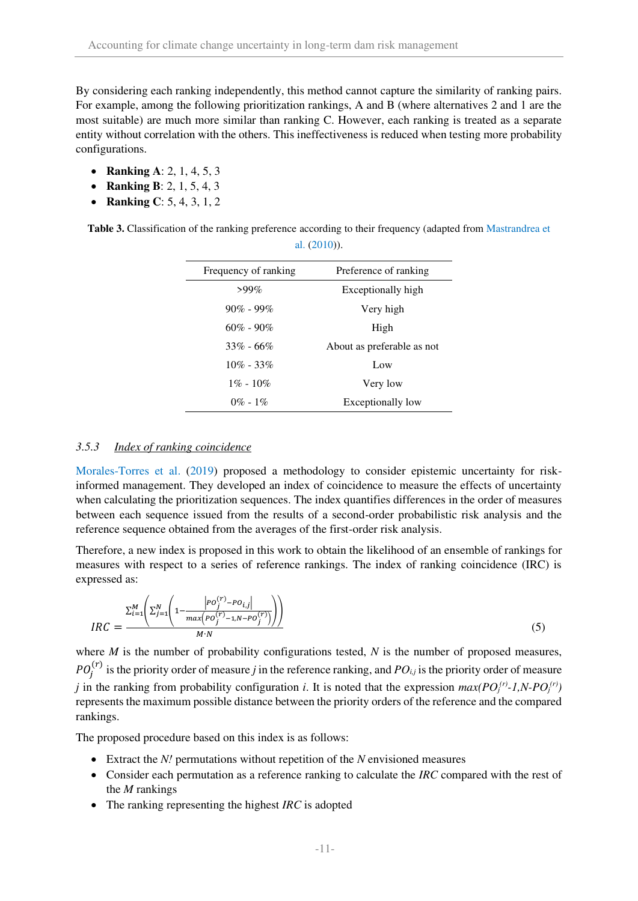By considering each ranking independently, this method cannot capture the similarity of ranking pairs. For example, among the following prioritization rankings, A and B (where alternatives 2 and 1 are the most suitable) are much more similar than ranking C. However, each ranking is treated as a separate entity without correlation with the others. This ineffectiveness is reduced when testing more probability configurations.

- **Ranking A**: 2, 1, 4, 5, 3
- **Ranking B**: 2, 1, 5, 4, 3
- **Ranking C**: 5, 4, 3, 1, 2

<span id="page-10-0"></span>**Table 3.** Classification of the ranking preference according to their frequency (adapted from Mastrandrea et al. (2010)).

| Frequency of ranking | Preference of ranking      |
|----------------------|----------------------------|
| $>99\%$              | Exceptionally high         |
| $90\%$ - $99\%$      | Very high                  |
| $60\% - 90\%$        | High                       |
| $33\% - 66\%$        | About as preferable as not |
| $10\% - 33\%$        | Low                        |
| $1\% - 10\%$         | Very low                   |
| $0\% - 1\%$          | Exceptionally low          |
|                      |                            |

#### *3.5.3 Index of ranking coincidence*

Morales-Torres et al. (2019) proposed a methodology to consider epistemic uncertainty for riskinformed management. They developed an index of coincidence to measure the effects of uncertainty when calculating the prioritization sequences. The index quantifies differences in the order of measures between each sequence issued from the results of a second-order probabilistic risk analysis and the reference sequence obtained from the averages of the first-order risk analysis.

Therefore, a new index is proposed in this work to obtain the likelihood of an ensemble of rankings for measures with respect to a series of reference rankings. The index of ranking coincidence (IRC) is expressed as:

$$
IRC = \frac{\sum_{i=1}^{M} \left( \sum_{j=1}^{N} \left( 1 - \frac{|PO_j^{(r)} - PO_{i,j}|}{max(PO_j^{(r)} - 1, N - PO_j^{(r)})} \right) \right)}{M \cdot N}
$$
\n(5)

where *M* is the number of probability configurations tested, *N* is the number of proposed measures,  $PO_j^{(r)}$  is the priority order of measure *j* in the reference ranking, and  $PO_{i,j}$  is the priority order of measure *j* in the ranking from probability configuration *i*. It is noted that the expression  $max(PO_j^{(r)}-1, N\text{-}PO_j^{(r)})$ represents the maximum possible distance between the priority orders of the reference and the compared rankings.

The proposed procedure based on this index is as follows:

- Extract the *N!* permutations without repetition of the *N* envisioned measures
- Consider each permutation as a reference ranking to calculate the *IRC* compared with the rest of the *M* rankings
- The ranking representing the highest *IRC* is adopted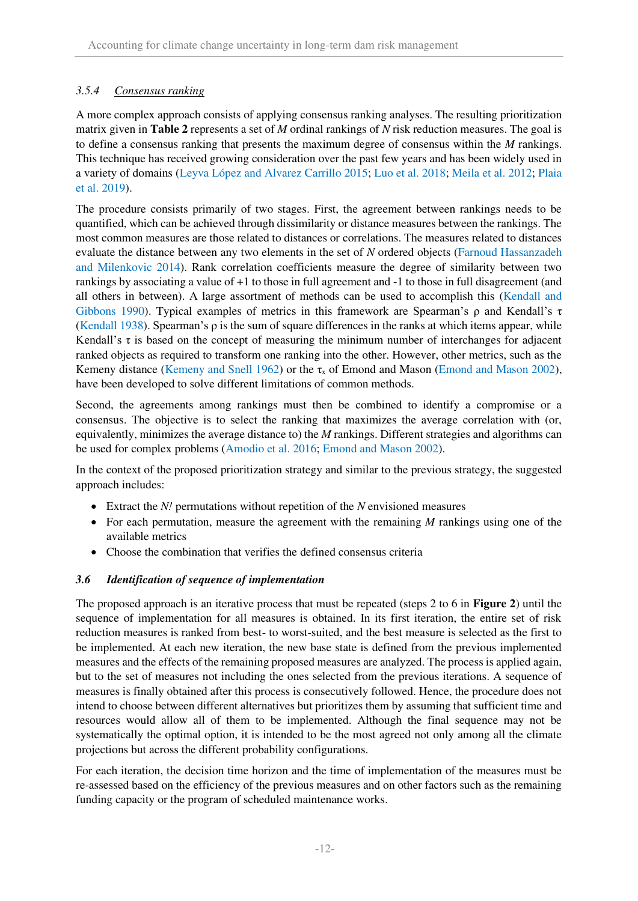## *3.5.4 Consensus ranking*

A more complex approach consists of applying consensus ranking analyses. The resulting prioritization matrix given in **[Table 2](#page-8-1)** represents a set of *M* ordinal rankings of *N* risk reduction measures. The goal is to define a consensus ranking that presents the maximum degree of consensus within the *M* rankings. This technique has received growing consideration over the past few years and has been widely used in a variety of domains (Leyva López and Alvarez Carrillo 2015; Luo et al. 2018; Meila et al. 2012; Plaia et al. 2019).

The procedure consists primarily of two stages. First, the agreement between rankings needs to be quantified, which can be achieved through dissimilarity or distance measures between the rankings. The most common measures are those related to distances or correlations. The measures related to distances evaluate the distance between any two elements in the set of *N* ordered objects (Farnoud Hassanzadeh and Milenkovic 2014). Rank correlation coefficients measure the degree of similarity between two rankings by associating a value of +1 to those in full agreement and -1 to those in full disagreement (and all others in between). A large assortment of methods can be used to accomplish this (Kendall and Gibbons 1990). Typical examples of metrics in this framework are Spearman's ρ and Kendall's τ (Kendall 1938). Spearman's ρ is the sum of square differences in the ranks at which items appear, while Kendall's τ is based on the concept of measuring the minimum number of interchanges for adjacent ranked objects as required to transform one ranking into the other. However, other metrics, such as the Kemeny distance (Kemeny and Snell 1962) or the  $\tau_x$  of Emond and Mason (Emond and Mason 2002), have been developed to solve different limitations of common methods.

Second, the agreements among rankings must then be combined to identify a compromise or a consensus. The objective is to select the ranking that maximizes the average correlation with (or, equivalently, minimizes the average distance to) the *M* rankings. Different strategies and algorithms can be used for complex problems (Amodio et al. 2016; Emond and Mason 2002).

In the context of the proposed prioritization strategy and similar to the previous strategy, the suggested approach includes:

- Extract the *N!* permutations without repetition of the *N* envisioned measures
- For each permutation, measure the agreement with the remaining *M* rankings using one of the available metrics
- Choose the combination that verifies the defined consensus criteria

## *3.6 Identification of sequence of implementation*

The proposed approach is an iterative process that must be repeated (steps 2 to 6 in **[Figure 2](#page-4-0)**) until the sequence of implementation for all measures is obtained. In its first iteration, the entire set of risk reduction measures is ranked from best- to worst-suited, and the best measure is selected as the first to be implemented. At each new iteration, the new base state is defined from the previous implemented measures and the effects of the remaining proposed measures are analyzed. The process is applied again, but to the set of measures not including the ones selected from the previous iterations. A sequence of measures is finally obtained after this process is consecutively followed. Hence, the procedure does not intend to choose between different alternatives but prioritizes them by assuming that sufficient time and resources would allow all of them to be implemented. Although the final sequence may not be systematically the optimal option, it is intended to be the most agreed not only among all the climate projections but across the different probability configurations.

For each iteration, the decision time horizon and the time of implementation of the measures must be re-assessed based on the efficiency of the previous measures and on other factors such as the remaining funding capacity or the program of scheduled maintenance works.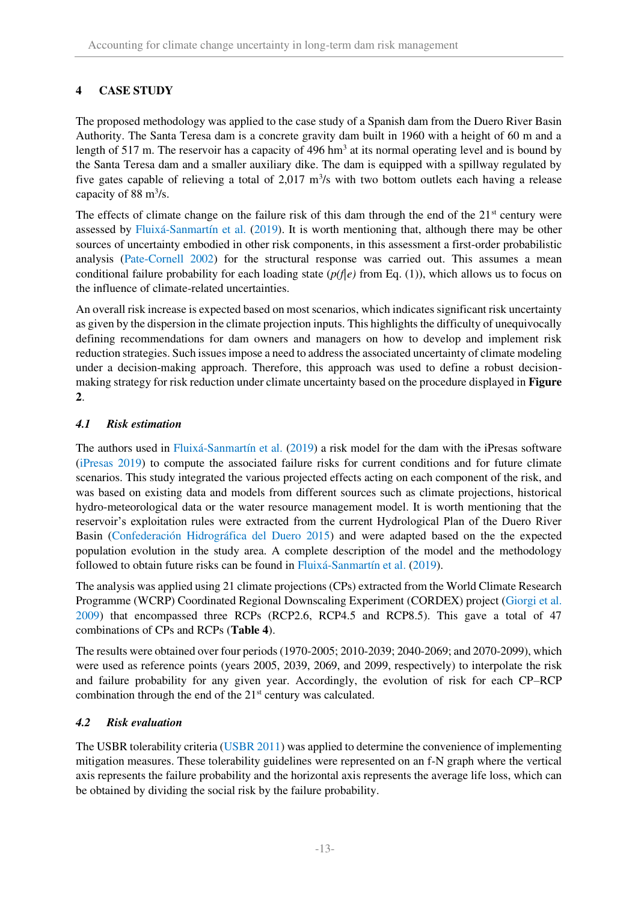# **4 CASE STUDY**

The proposed methodology was applied to the case study of a Spanish dam from the Duero River Basin Authority. The Santa Teresa dam is a concrete gravity dam built in 1960 with a height of 60 m and a length of 517 m. The reservoir has a capacity of 496  $\text{hm}^3$  at its normal operating level and is bound by the Santa Teresa dam and a smaller auxiliary dike. The dam is equipped with a spillway regulated by five gates capable of relieving a total of 2,017  $\mathrm{m}^3$ /s with two bottom outlets each having a release capacity of 88  $\mathrm{m}^3/\mathrm{s}$ .

The effects of climate change on the failure risk of this dam through the end of the  $21<sup>st</sup>$  century were assessed by Fluixá-Sanmartín et al. (2019). It is worth mentioning that, although there may be other sources of uncertainty embodied in other risk components, in this assessment a first-order probabilistic analysis (Pate-Cornell 2002) for the structural response was carried out. This assumes a mean conditional failure probability for each loading state (*p(f|e)* from Eq. (1)), which allows us to focus on the influence of climate-related uncertainties.

An overall risk increase is expected based on most scenarios, which indicates significant risk uncertainty as given by the dispersion in the climate projection inputs. This highlights the difficulty of unequivocally defining recommendations for dam owners and managers on how to develop and implement risk reduction strategies. Such issues impose a need to address the associated uncertainty of climate modeling under a decision-making approach. Therefore, this approach was used to define a robust decisionmaking strategy for risk reduction under climate uncertainty based on the procedure displayed in **[Figure](#page-4-0)  [2](#page-4-0)**.

## *4.1 Risk estimation*

The authors used in Fluixá-Sanmartín et al. (2019) a risk model for the dam with the iPresas software (iPresas 2019) to compute the associated failure risks for current conditions and for future climate scenarios. This study integrated the various projected effects acting on each component of the risk, and was based on existing data and models from different sources such as climate projections, historical hydro-meteorological data or the water resource management model. It is worth mentioning that the reservoir's exploitation rules were extracted from the current Hydrological Plan of the Duero River Basin (Confederación Hidrográfica del Duero 2015) and were adapted based on the the expected population evolution in the study area. A complete description of the model and the methodology followed to obtain future risks can be found in Fluixá-Sanmartín et al. (2019).

The analysis was applied using 21 climate projections (CPs) extracted from the World Climate Research Programme (WCRP) Coordinated Regional Downscaling Experiment (CORDEX) project (Giorgi et al. 2009) that encompassed three RCPs (RCP2.6, RCP4.5 and RCP8.5). This gave a total of 47 combinations of CPs and RCPs (**[Table 4](#page-13-0)**).

The results were obtained over four periods (1970-2005; 2010-2039; 2040-2069; and 2070-2099), which were used as reference points (years 2005, 2039, 2069, and 2099, respectively) to interpolate the risk and failure probability for any given year. Accordingly, the evolution of risk for each CP–RCP combination through the end of the 21<sup>st</sup> century was calculated.

## *4.2 Risk evaluation*

The USBR tolerability criteria (USBR 2011) was applied to determine the convenience of implementing mitigation measures. These tolerability guidelines were represented on an f-N graph where the vertical axis represents the failure probability and the horizontal axis represents the average life loss, which can be obtained by dividing the social risk by the failure probability.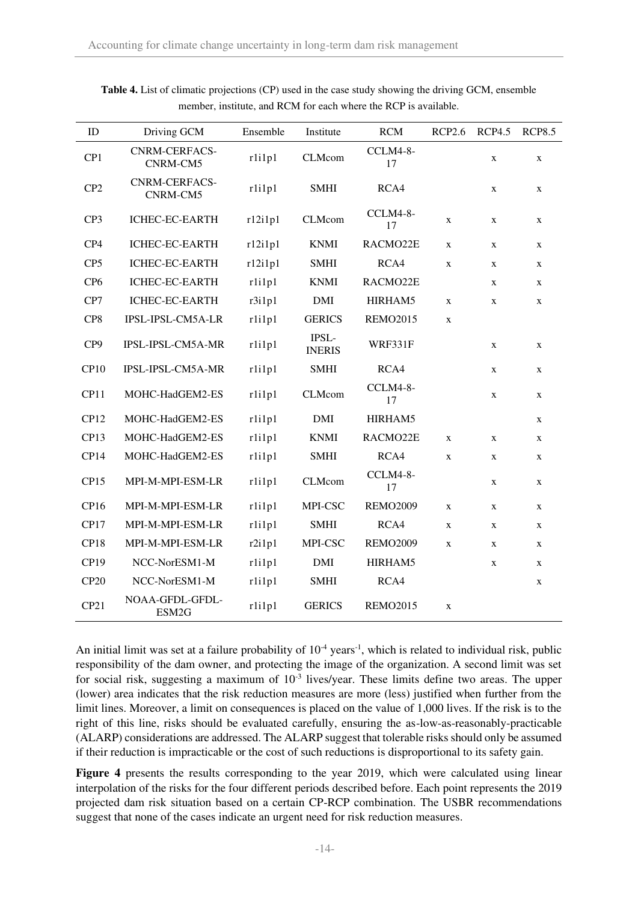| $\rm ID$        | Driving GCM                      | Ensemble | Institute              | RCM             | <b>RCP2.6</b> | <b>RCP4.5</b> | <b>RCP8.5</b> |
|-----------------|----------------------------------|----------|------------------------|-----------------|---------------|---------------|---------------|
| CP1             | <b>CNRM-CERFACS-</b><br>CNRM-CM5 | rlilpl   | <b>CLMcom</b>          | CCLM4-8-<br>17  |               | $\mathbf X$   | $\mathbf X$   |
| CP <sub>2</sub> | <b>CNRM-CERFACS-</b><br>CNRM-CM5 | rlilpl   | <b>SMHI</b>            | RCA4            |               | $\mathbf x$   | X             |
| CP3             | ICHEC-EC-EARTH                   | r12i1p1  | <b>CLMcom</b>          | CCLM4-8-<br>17  | X             | X             | $\mathbf X$   |
| CP4             | <b>ICHEC-EC-EARTH</b>            | r12i1p1  | <b>KNMI</b>            | RACMO22E        | $\mathbf X$   | $\mathbf X$   | $\mathbf X$   |
| CP <sub>5</sub> | ICHEC-EC-EARTH                   | r12i1p1  | <b>SMHI</b>            | RCA4            | $\mathbf X$   | X             | $\mathbf X$   |
| CP <sub>6</sub> | ICHEC-EC-EARTH                   | rlilpl   | <b>KNMI</b>            | RACMO22E        |               | X             | $\mathbf X$   |
| CP7             | ICHEC-EC-EARTH                   | r3i1p1   | <b>DMI</b>             | HIRHAM5         | $\mathbf{X}$  | X             | $\mathbf x$   |
| CP8             | IPSL-IPSL-CM5A-LR                | rlilpl   | <b>GERICS</b>          | <b>REMO2015</b> | $\mathbf X$   |               |               |
| CP9             | IPSL-IPSL-CM5A-MR                | rlilpl   | IPSL-<br><b>INERIS</b> | WRF331F         |               | $\mathbf X$   | X             |
| CP10            | IPSL-IPSL-CM5A-MR                | rlilpl   | <b>SMHI</b>            | RCA4            |               | X             | $\mathbf X$   |
| CP11            | MOHC-HadGEM2-ES                  | rlilpl   | <b>CLMcom</b>          | CCLM4-8-<br>17  |               | $\mathbf X$   | $\mathbf X$   |
| CP12            | MOHC-HadGEM2-ES                  | rlilpl   | <b>DMI</b>             | HIRHAM5         |               |               | $\mathbf X$   |
| CP13            | MOHC-HadGEM2-ES                  | rlilpl   | <b>KNMI</b>            | RACMO22E        | $\mathbf X$   | $\mathbf X$   | $\mathbf X$   |
| CP14            | MOHC-HadGEM2-ES                  | rlilpl   | <b>SMHI</b>            | RCA4            | $\mathbf X$   | $\mathbf X$   | $\mathbf X$   |
| CP15            | MPI-M-MPI-ESM-LR                 | rlilpl   | <b>CLMcom</b>          | CCLM4-8-<br>17  |               | X             | $\mathbf X$   |
| CP16            | MPI-M-MPI-ESM-LR                 | rlilpl   | MPI-CSC                | <b>REMO2009</b> | $\mathbf X$   | $\mathbf X$   | $\mathbf X$   |
| CP17            | MPI-M-MPI-ESM-LR                 | rlilpl   | <b>SMHI</b>            | RCA4            | $\mathbf X$   | X             | $\mathbf X$   |
| CP18            | MPI-M-MPI-ESM-LR                 | r2i1p1   | MPI-CSC                | <b>REMO2009</b> | $\mathbf X$   | X             | $\mathbf X$   |
| CP19            | NCC-NorESM1-M                    | rlilpl   | <b>DMI</b>             | HIRHAM5         |               | $\mathbf X$   | $\mathbf X$   |
| CP20            | NCC-NorESM1-M                    | rlilpl   | <b>SMHI</b>            | RCA4            |               |               | X             |
| CP21            | NOAA-GFDL-GFDL-<br>ESM2G         | rlilpl   | <b>GERICS</b>          | <b>REMO2015</b> | $\mathbf X$   |               |               |

<span id="page-13-0"></span>**Table 4.** List of climatic projections (CP) used in the case study showing the driving GCM, ensemble member, institute, and RCM for each where the RCP is available.

An initial limit was set at a failure probability of  $10^{-4}$  years<sup>-1</sup>, which is related to individual risk, public responsibility of the dam owner, and protecting the image of the organization. A second limit was set for social risk, suggesting a maximum of  $10^{-3}$  lives/year. These limits define two areas. The upper (lower) area indicates that the risk reduction measures are more (less) justified when further from the limit lines. Moreover, a limit on consequences is placed on the value of 1,000 lives. If the risk is to the right of this line, risks should be evaluated carefully, ensuring the as-low-as-reasonably-practicable (ALARP) considerations are addressed. The ALARP suggest that tolerable risks should only be assumed if their reduction is impracticable or the cost of such reductions is disproportional to its safety gain.

**[Figure 4](#page-14-0)** presents the results corresponding to the year 2019, which were calculated using linear interpolation of the risks for the four different periods described before. Each point represents the 2019 projected dam risk situation based on a certain CP-RCP combination. The USBR recommendations suggest that none of the cases indicate an urgent need for risk reduction measures.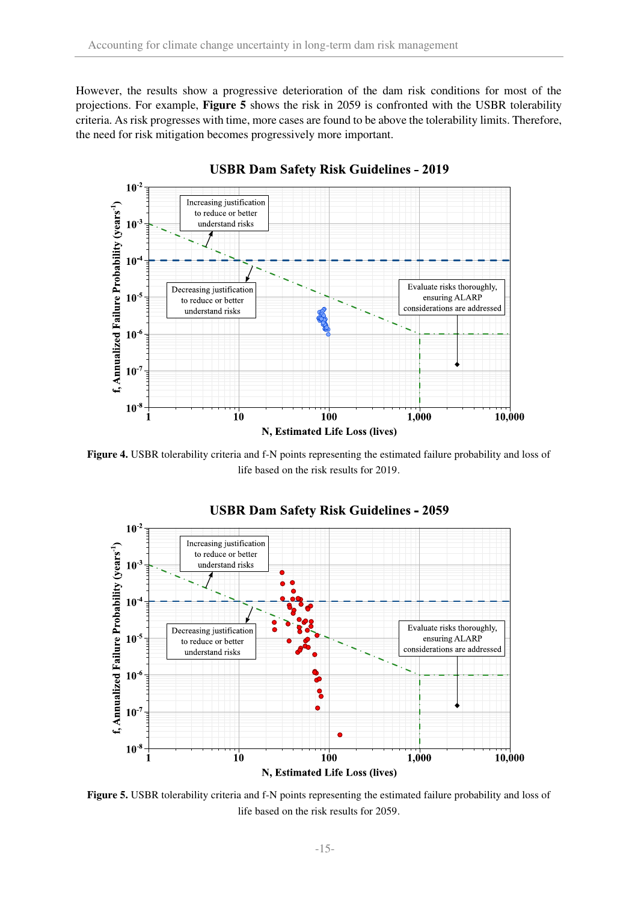However, the results show a progressive deterioration of the dam risk conditions for most of the projections. For example, **[Figure 5](#page-14-1)** shows the risk in 2059 is confronted with the USBR tolerability criteria. As risk progresses with time, more cases are found to be above the tolerability limits. Therefore, the need for risk mitigation becomes progressively more important.



**USBR Dam Safety Risk Guidelines - 2019** 

<span id="page-14-0"></span>**Figure 4.** USBR tolerability criteria and f-N points representing the estimated failure probability and loss of life based on the risk results for 2019.



<span id="page-14-1"></span>**Figure 5.** USBR tolerability criteria and f-N points representing the estimated failure probability and loss of life based on the risk results for 2059.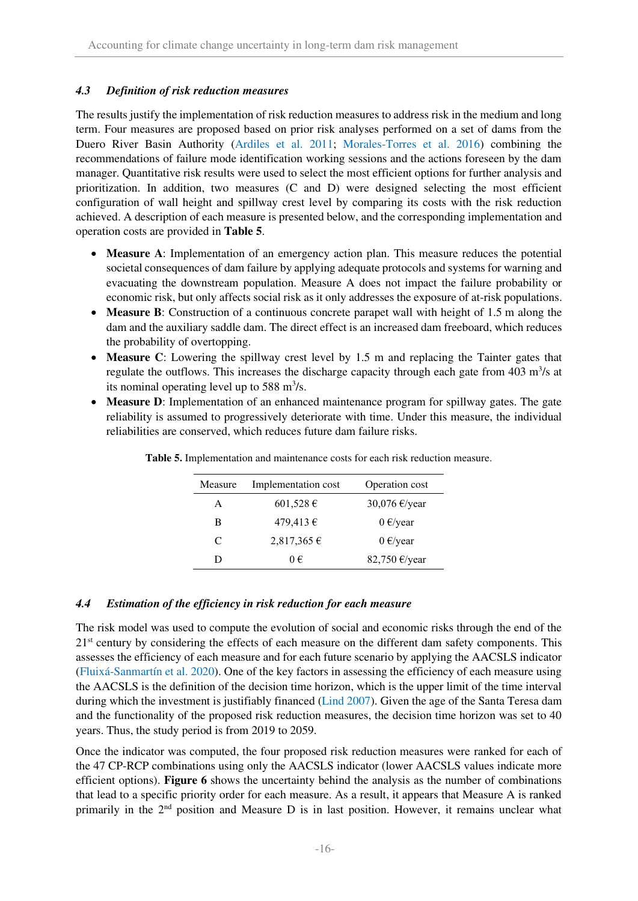## *4.3 Definition of risk reduction measures*

The results justify the implementation of risk reduction measures to address risk in the medium and long term. Four measures are proposed based on prior risk analyses performed on a set of dams from the Duero River Basin Authority (Ardiles et al. 2011; Morales-Torres et al. 2016) combining the recommendations of failure mode identification working sessions and the actions foreseen by the dam manager. Quantitative risk results were used to select the most efficient options for further analysis and prioritization. In addition, two measures (C and D) were designed selecting the most efficient configuration of wall height and spillway crest level by comparing its costs with the risk reduction achieved. A description of each measure is presented below, and the corresponding implementation and operation costs are provided in **[Table 5](#page-15-0)**.

- **Measure A**: Implementation of an emergency action plan. This measure reduces the potential societal consequences of dam failure by applying adequate protocols and systems for warning and evacuating the downstream population. Measure A does not impact the failure probability or economic risk, but only affects social risk as it only addresses the exposure of at-risk populations.
- **Measure B**: Construction of a continuous concrete parapet wall with height of 1.5 m along the dam and the auxiliary saddle dam. The direct effect is an increased dam freeboard, which reduces the probability of overtopping.
- **Measure C**: Lowering the spillway crest level by 1.5 m and replacing the Tainter gates that regulate the outflows. This increases the discharge capacity through each gate from 403 m<sup>3</sup>/s at its nominal operating level up to  $588 \text{ m}^3/\text{s}$ .
- <span id="page-15-0"></span>• **Measure D**: Implementation of an enhanced maintenance program for spillway gates. The gate reliability is assumed to progressively deteriorate with time. Under this measure, the individual reliabilities are conserved, which reduces future dam failure risks.

| Measure | Implementation cost | Operation cost          |
|---------|---------------------|-------------------------|
| A       | 601,528 €           | 30,076 $\epsilon$ /year |
| B       | $479,413 \in$       | $0 \in$ /year           |
| C       | $2,817,365 \in$     | $0 \in$ /year           |
|         | 0€                  | 82,750 €/year           |

**Table 5.** Implementation and maintenance costs for each risk reduction measure.

# *4.4 Estimation of the efficiency in risk reduction for each measure*

The risk model was used to compute the evolution of social and economic risks through the end of the 21<sup>st</sup> century by considering the effects of each measure on the different dam safety components. This assesses the efficiency of each measure and for each future scenario by applying the AACSLS indicator (Fluixá-Sanmartín et al. 2020). One of the key factors in assessing the efficiency of each measure using the AACSLS is the definition of the decision time horizon, which is the upper limit of the time interval during which the investment is justifiably financed (Lind 2007). Given the age of the Santa Teresa dam and the functionality of the proposed risk reduction measures, the decision time horizon was set to 40 years. Thus, the study period is from 2019 to 2059.

Once the indicator was computed, the four proposed risk reduction measures were ranked for each of the 47 CP-RCP combinations using only the AACSLS indicator (lower AACSLS values indicate more efficient options). **[Figure 6](#page-17-0)** shows the uncertainty behind the analysis as the number of combinations that lead to a specific priority order for each measure. As a result, it appears that Measure A is ranked primarily in the 2<sup>nd</sup> position and Measure D is in last position. However, it remains unclear what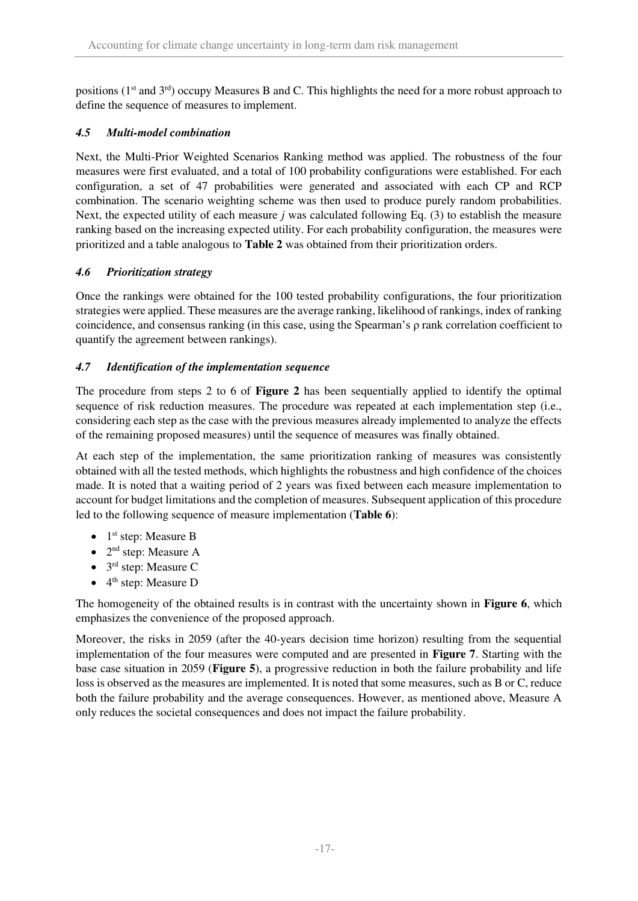positions ( $1<sup>st</sup>$  and  $3<sup>rd</sup>$ ) occupy Measures B and C. This highlights the need for a more robust approach to define the sequence of measures to implement.

## *4.5 Multi-model combination*

Next, the Multi-Prior Weighted Scenarios Ranking method was applied. The robustness of the four measures were first evaluated, and a total of 100 probability configurations were established. For each configuration, a set of 47 probabilities were generated and associated with each CP and RCP combination. The scenario weighting scheme was then used to produce purely random probabilities. Next, the expected utility of each measure *j* was calculated following Eq. (3) to establish the measure ranking based on the increasing expected utility. For each probability configuration, the measures were prioritized and a table analogous to **[Table 2](#page-8-1)** was obtained from their prioritization orders.

## *4.6 Prioritization strategy*

Once the rankings were obtained for the 100 tested probability configurations, the four prioritization strategies were applied. These measures are the average ranking, likelihood of rankings, index of ranking coincidence, and consensus ranking (in this case, using the Spearman's ρ rank correlation coefficient to quantify the agreement between rankings).

## *4.7 Identification of the implementation sequence*

The procedure from steps 2 to 6 of **[Figure 2](#page-4-0)** has been sequentially applied to identify the optimal sequence of risk reduction measures. The procedure was repeated at each implementation step (i.e., considering each step as the case with the previous measures already implemented to analyze the effects of the remaining proposed measures) until the sequence of measures was finally obtained.

At each step of the implementation, the same prioritization ranking of measures was consistently obtained with all the tested methods, which highlights the robustness and high confidence of the choices made. It is noted that a waiting period of 2 years was fixed between each measure implementation to account for budget limitations and the completion of measures. Subsequent application of this procedure led to the following sequence of measure implementation (**[Table 6](#page-17-1)**):

- $\bullet$  1<sup>st</sup> step: Measure B
- $2<sup>nd</sup>$  step: Measure A
- 3<sup>rd</sup> step: Measure C
- $\bullet$  4<sup>th</sup> step: Measure D

The homogeneity of the obtained results is in contrast with the uncertainty shown in **[Figure 6](#page-17-0)**, which emphasizes the convenience of the proposed approach.

Moreover, the risks in 2059 (after the 40-years decision time horizon) resulting from the sequential implementation of the four measures were computed and are presented in **[Figure 7](#page-18-0)**. Starting with the base case situation in 2059 (**[Figure 5](#page-14-1)**), a progressive reduction in both the failure probability and life loss is observed as the measures are implemented. It is noted that some measures, such as B or C, reduce both the failure probability and the average consequences. However, as mentioned above, Measure A only reduces the societal consequences and does not impact the failure probability.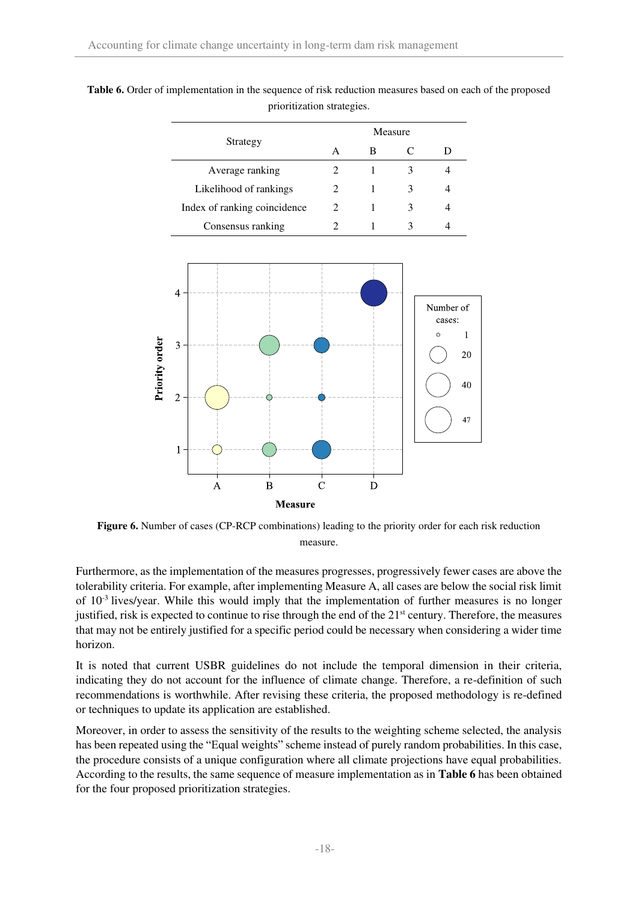|                              | Measure       |   |  |  |  |
|------------------------------|---------------|---|--|--|--|
| Strategy                     | А             | В |  |  |  |
| Average ranking              |               |   |  |  |  |
| Likelihood of rankings       | $\mathcal{L}$ |   |  |  |  |
| Index of ranking coincidence | 2             |   |  |  |  |
| Consensus ranking            |               |   |  |  |  |

<span id="page-17-1"></span>**Table 6.** Order of implementation in the sequence of risk reduction measures based on each of the proposed prioritization strategies.



<span id="page-17-0"></span>**Figure 6.** Number of cases (CP-RCP combinations) leading to the priority order for each risk reduction measure.

Furthermore, as the implementation of the measures progresses, progressively fewer cases are above the tolerability criteria. For example, after implementing Measure A, all cases are below the social risk limit of  $10^{-3}$  lives/year. While this would imply that the implementation of further measures is no longer justified, risk is expected to continue to rise through the end of the 21<sup>st</sup> century. Therefore, the measures that may not be entirely justified for a specific period could be necessary when considering a wider time horizon.

It is noted that current USBR guidelines do not include the temporal dimension in their criteria, indicating they do not account for the influence of climate change. Therefore, a re-definition of such recommendations is worthwhile. After revising these criteria, the proposed methodology is re-defined or techniques to update its application are established.

Moreover, in order to assess the sensitivity of the results to the weighting scheme selected, the analysis has been repeated using the "Equal weights" scheme instead of purely random probabilities. In this case, the procedure consists of a unique configuration where all climate projections have equal probabilities. According to the results, the same sequence of measure implementation as in **[Table 6](#page-17-1)** has been obtained for the four proposed prioritization strategies.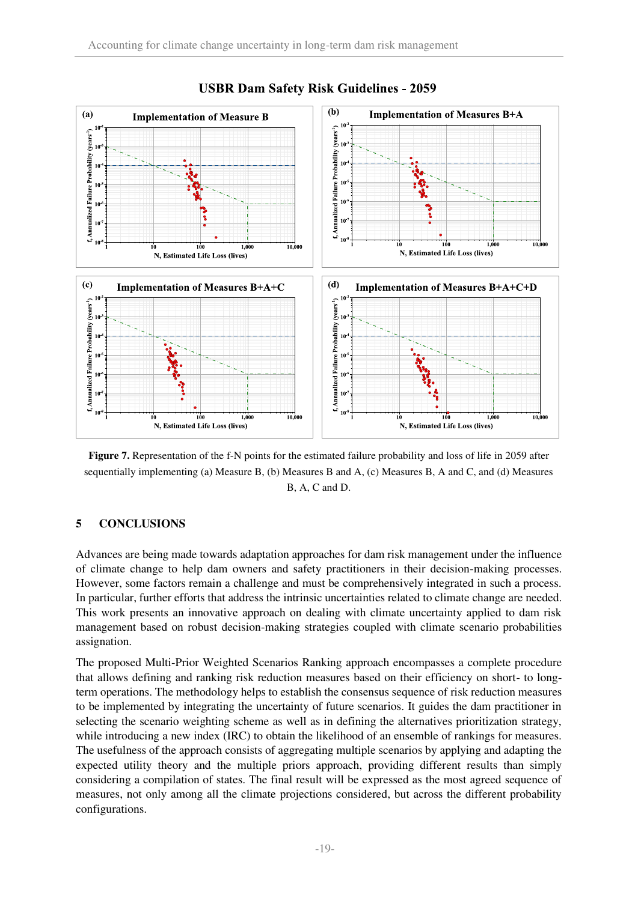

**USBR Dam Safety Risk Guidelines - 2059** 

<span id="page-18-0"></span>Figure 7. Representation of the f-N points for the estimated failure probability and loss of life in 2059 after sequentially implementing (a) Measure B, (b) Measures B and A, (c) Measures B, A and C, and (d) Measures B, A, C and D.

## **5 CONCLUSIONS**

Advances are being made towards adaptation approaches for dam risk management under the influence of climate change to help dam owners and safety practitioners in their decision-making processes. However, some factors remain a challenge and must be comprehensively integrated in such a process. In particular, further efforts that address the intrinsic uncertainties related to climate change are needed. This work presents an innovative approach on dealing with climate uncertainty applied to dam risk management based on robust decision-making strategies coupled with climate scenario probabilities assignation.

The proposed Multi-Prior Weighted Scenarios Ranking approach encompasses a complete procedure that allows defining and ranking risk reduction measures based on their efficiency on short- to longterm operations. The methodology helps to establish the consensus sequence of risk reduction measures to be implemented by integrating the uncertainty of future scenarios. It guides the dam practitioner in selecting the scenario weighting scheme as well as in defining the alternatives prioritization strategy, while introducing a new index (IRC) to obtain the likelihood of an ensemble of rankings for measures. The usefulness of the approach consists of aggregating multiple scenarios by applying and adapting the expected utility theory and the multiple priors approach, providing different results than simply considering a compilation of states. The final result will be expressed as the most agreed sequence of measures, not only among all the climate projections considered, but across the different probability configurations.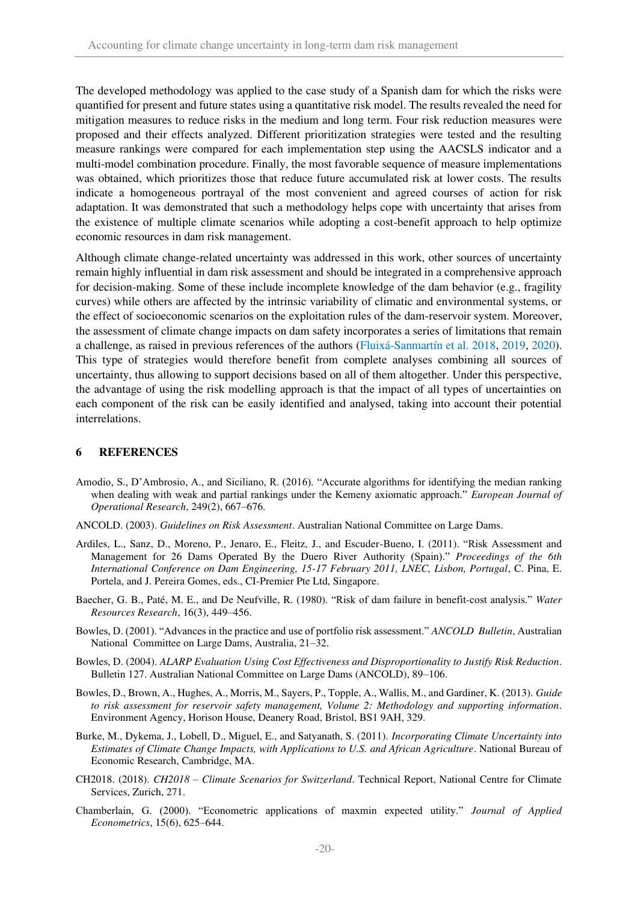The developed methodology was applied to the case study of a Spanish dam for which the risks were quantified for present and future states using a quantitative risk model. The results revealed the need for mitigation measures to reduce risks in the medium and long term. Four risk reduction measures were proposed and their effects analyzed. Different prioritization strategies were tested and the resulting measure rankings were compared for each implementation step using the AACSLS indicator and a multi-model combination procedure. Finally, the most favorable sequence of measure implementations was obtained, which prioritizes those that reduce future accumulated risk at lower costs. The results indicate a homogeneous portrayal of the most convenient and agreed courses of action for risk adaptation. It was demonstrated that such a methodology helps cope with uncertainty that arises from the existence of multiple climate scenarios while adopting a cost-benefit approach to help optimize economic resources in dam risk management.

Although climate change-related uncertainty was addressed in this work, other sources of uncertainty remain highly influential in dam risk assessment and should be integrated in a comprehensive approach for decision-making. Some of these include incomplete knowledge of the dam behavior (e.g., fragility curves) while others are affected by the intrinsic variability of climatic and environmental systems, or the effect of socioeconomic scenarios on the exploitation rules of the dam-reservoir system. Moreover, the assessment of climate change impacts on dam safety incorporates a series of limitations that remain a challenge, as raised in previous references of the authors (Fluixá-Sanmartín et al. 2018, 2019, 2020). This type of strategies would therefore benefit from complete analyses combining all sources of uncertainty, thus allowing to support decisions based on all of them altogether. Under this perspective, the advantage of using the risk modelling approach is that the impact of all types of uncertainties on each component of the risk can be easily identified and analysed, taking into account their potential interrelations.

#### **6 REFERENCES**

- Amodio, S., D'Ambrosio, A., and Siciliano, R. (2016). "Accurate algorithms for identifying the median ranking when dealing with weak and partial rankings under the Kemeny axiomatic approach." *European Journal of Operational Research*, 249(2), 667–676.
- ANCOLD. (2003). *Guidelines on Risk Assessment*. Australian National Committee on Large Dams.
- Ardiles, L., Sanz, D., Moreno, P., Jenaro, E., Fleitz, J., and Escuder-Bueno, I. (2011). "Risk Assessment and Management for 26 Dams Operated By the Duero River Authority (Spain)." *Proceedings of the 6th International Conference on Dam Engineering, 15-17 February 2011, LNEC, Lisbon, Portugal*, C. Pina, E. Portela, and J. Pereira Gomes, eds., CI-Premier Pte Ltd, Singapore.
- Baecher, G. B., Paté, M. E., and De Neufville, R. (1980). "Risk of dam failure in benefit-cost analysis." *Water Resources Research*, 16(3), 449–456.
- Bowles, D. (2001). "Advances in the practice and use of portfolio risk assessment." *ANCOLD Bulletin*, Australian National Committee on Large Dams, Australia, 21–32.
- Bowles, D. (2004). *ALARP Evaluation Using Cost Effectiveness and Disproportionality to Justify Risk Reduction*. Bulletin 127. Australian National Committee on Large Dams (ANCOLD), 89–106.
- Bowles, D., Brown, A., Hughes, A., Morris, M., Sayers, P., Topple, A., Wallis, M., and Gardiner, K. (2013). *Guide to risk assessment for reservoir safety management, Volume 2: Methodology and supporting information*. Environment Agency, Horison House, Deanery Road, Bristol, BS1 9AH, 329.
- Burke, M., Dykema, J., Lobell, D., Miguel, E., and Satyanath, S. (2011). *Incorporating Climate Uncertainty into Estimates of Climate Change Impacts, with Applications to U.S. and African Agriculture*. National Bureau of Economic Research, Cambridge, MA.
- CH2018. (2018). *CH2018 – Climate Scenarios for Switzerland*. Technical Report, National Centre for Climate Services, Zurich, 271.
- Chamberlain, G. (2000). "Econometric applications of maxmin expected utility." *Journal of Applied Econometrics*, 15(6), 625–644.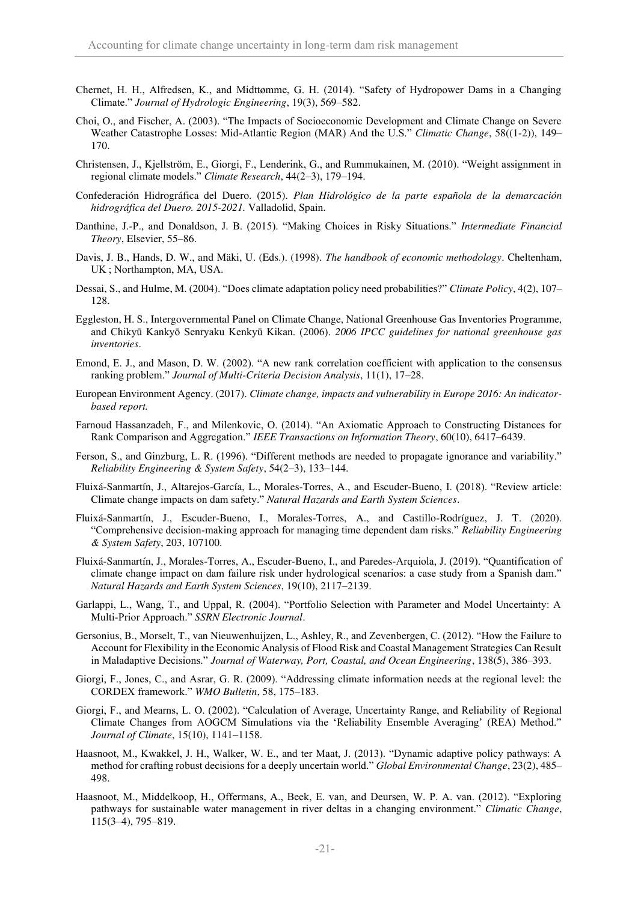- Chernet, H. H., Alfredsen, K., and Midttømme, G. H. (2014). "Safety of Hydropower Dams in a Changing Climate." *Journal of Hydrologic Engineering*, 19(3), 569–582.
- Choi, O., and Fischer, A. (2003). "The Impacts of Socioeconomic Development and Climate Change on Severe Weather Catastrophe Losses: Mid-Atlantic Region (MAR) And the U.S." *Climatic Change*, 58((1-2)), 149– 170.
- Christensen, J., Kjellström, E., Giorgi, F., Lenderink, G., and Rummukainen, M. (2010). "Weight assignment in regional climate models." *Climate Research*, 44(2–3), 179–194.
- Confederación Hidrográfica del Duero. (2015). *Plan Hidrológico de la parte española de la demarcación hidrográfica del Duero. 2015-2021.* Valladolid, Spain.
- Danthine, J.-P., and Donaldson, J. B. (2015). "Making Choices in Risky Situations." *Intermediate Financial Theory*, Elsevier, 55–86.
- Davis, J. B., Hands, D. W., and Mäki, U. (Eds.). (1998). *The handbook of economic methodology*. Cheltenham, UK ; Northampton, MA, USA.
- Dessai, S., and Hulme, M. (2004). "Does climate adaptation policy need probabilities?" *Climate Policy*, 4(2), 107– 128.
- Eggleston, H. S., Intergovernmental Panel on Climate Change, National Greenhouse Gas Inventories Programme, and Chikyū Kankyō Senryaku Kenkyū Kikan. (2006). *2006 IPCC guidelines for national greenhouse gas inventories*.
- Emond, E. J., and Mason, D. W. (2002). "A new rank correlation coefficient with application to the consensus ranking problem." *Journal of Multi-Criteria Decision Analysis*, 11(1), 17–28.
- European Environment Agency. (2017). *Climate change, impacts and vulnerability in Europe 2016: An indicatorbased report.*
- Farnoud Hassanzadeh, F., and Milenkovic, O. (2014). "An Axiomatic Approach to Constructing Distances for Rank Comparison and Aggregation." *IEEE Transactions on Information Theory*, 60(10), 6417–6439.
- Ferson, S., and Ginzburg, L. R. (1996). "Different methods are needed to propagate ignorance and variability." *Reliability Engineering & System Safety*, 54(2–3), 133–144.
- Fluixá-Sanmartín, J., Altarejos-García, L., Morales-Torres, A., and Escuder-Bueno, I. (2018). "Review article: Climate change impacts on dam safety." *Natural Hazards and Earth System Sciences*.
- Fluixá-Sanmartín, J., Escuder-Bueno, I., Morales-Torres, A., and Castillo-Rodríguez, J. T. (2020). "Comprehensive decision-making approach for managing time dependent dam risks." *Reliability Engineering & System Safety*, 203, 107100.
- Fluixá-Sanmartín, J., Morales-Torres, A., Escuder-Bueno, I., and Paredes-Arquiola, J. (2019). "Quantification of climate change impact on dam failure risk under hydrological scenarios: a case study from a Spanish dam." *Natural Hazards and Earth System Sciences*, 19(10), 2117–2139.
- Garlappi, L., Wang, T., and Uppal, R. (2004). "Portfolio Selection with Parameter and Model Uncertainty: A Multi-Prior Approach." *SSRN Electronic Journal*.
- Gersonius, B., Morselt, T., van Nieuwenhuijzen, L., Ashley, R., and Zevenbergen, C. (2012). "How the Failure to Account for Flexibility in the Economic Analysis of Flood Risk and Coastal Management Strategies Can Result in Maladaptive Decisions." *Journal of Waterway, Port, Coastal, and Ocean Engineering*, 138(5), 386–393.
- Giorgi, F., Jones, C., and Asrar, G. R. (2009). "Addressing climate information needs at the regional level: the CORDEX framework." *WMO Bulletin*, 58, 175–183.
- Giorgi, F., and Mearns, L. O. (2002). "Calculation of Average, Uncertainty Range, and Reliability of Regional Climate Changes from AOGCM Simulations via the 'Reliability Ensemble Averaging' (REA) Method." *Journal of Climate*, 15(10), 1141–1158.
- Haasnoot, M., Kwakkel, J. H., Walker, W. E., and ter Maat, J. (2013). "Dynamic adaptive policy pathways: A method for crafting robust decisions for a deeply uncertain world." *Global Environmental Change*, 23(2), 485– 498.
- Haasnoot, M., Middelkoop, H., Offermans, A., Beek, E. van, and Deursen, W. P. A. van. (2012). "Exploring pathways for sustainable water management in river deltas in a changing environment." *Climatic Change*, 115(3–4), 795–819.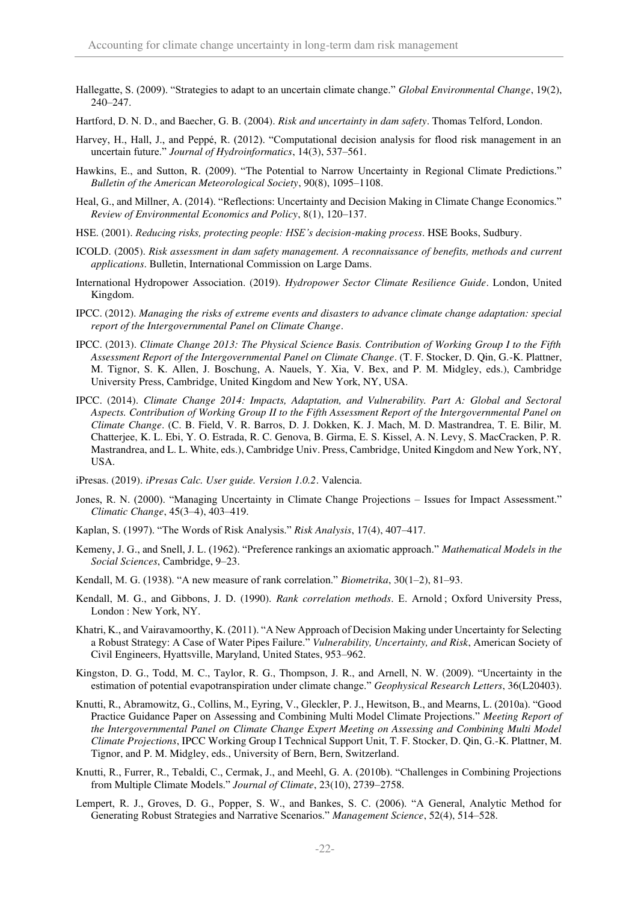Hallegatte, S. (2009). "Strategies to adapt to an uncertain climate change." *Global Environmental Change*, 19(2), 240–247.

Hartford, D. N. D., and Baecher, G. B. (2004). *Risk and uncertainty in dam safety*. Thomas Telford, London.

- Harvey, H., Hall, J., and Peppé, R. (2012). "Computational decision analysis for flood risk management in an uncertain future." *Journal of Hydroinformatics*, 14(3), 537–561.
- Hawkins, E., and Sutton, R. (2009). "The Potential to Narrow Uncertainty in Regional Climate Predictions." *Bulletin of the American Meteorological Society*, 90(8), 1095–1108.
- Heal, G., and Millner, A. (2014). "Reflections: Uncertainty and Decision Making in Climate Change Economics." *Review of Environmental Economics and Policy*, 8(1), 120–137.
- HSE. (2001). *Reducing risks, protecting people: HSE's decision-making process*. HSE Books, Sudbury.
- ICOLD. (2005). *Risk assessment in dam safety management. A reconnaissance of benefits, methods and current applications*. Bulletin, International Commission on Large Dams.
- International Hydropower Association. (2019). *Hydropower Sector Climate Resilience Guide*. London, United Kingdom.
- IPCC. (2012). *Managing the risks of extreme events and disasters to advance climate change adaptation: special report of the Intergovernmental Panel on Climate Change*.
- IPCC. (2013). *Climate Change 2013: The Physical Science Basis. Contribution of Working Group I to the Fifth Assessment Report of the Intergovernmental Panel on Climate Change*. (T. F. Stocker, D. Qin, G.-K. Plattner, M. Tignor, S. K. Allen, J. Boschung, A. Nauels, Y. Xia, V. Bex, and P. M. Midgley, eds.), Cambridge University Press, Cambridge, United Kingdom and New York, NY, USA.
- IPCC. (2014). *Climate Change 2014: Impacts, Adaptation, and Vulnerability. Part A: Global and Sectoral Aspects. Contribution of Working Group II to the Fifth Assessment Report of the Intergovernmental Panel on Climate Change*. (C. B. Field, V. R. Barros, D. J. Dokken, K. J. Mach, M. D. Mastrandrea, T. E. Bilir, M. Chatterjee, K. L. Ebi, Y. O. Estrada, R. C. Genova, B. Girma, E. S. Kissel, A. N. Levy, S. MacCracken, P. R. Mastrandrea, and L. L. White, eds.), Cambridge Univ. Press, Cambridge, United Kingdom and New York, NY, USA.
- iPresas. (2019). *iPresas Calc. User guide. Version 1.0.2*. Valencia.
- Jones, R. N. (2000). "Managing Uncertainty in Climate Change Projections Issues for Impact Assessment." *Climatic Change*, 45(3–4), 403–419.
- Kaplan, S. (1997). "The Words of Risk Analysis." *Risk Analysis*, 17(4), 407–417.
- Kemeny, J. G., and Snell, J. L. (1962). "Preference rankings an axiomatic approach." *Mathematical Models in the Social Sciences*, Cambridge, 9–23.
- Kendall, M. G. (1938). "A new measure of rank correlation." *Biometrika*, 30(1–2), 81–93.
- Kendall, M. G., and Gibbons, J. D. (1990). *Rank correlation methods*. E. Arnold ; Oxford University Press, London : New York, NY.
- Khatri, K., and Vairavamoorthy, K. (2011). "A New Approach of Decision Making under Uncertainty for Selecting a Robust Strategy: A Case of Water Pipes Failure." *Vulnerability, Uncertainty, and Risk*, American Society of Civil Engineers, Hyattsville, Maryland, United States, 953–962.
- Kingston, D. G., Todd, M. C., Taylor, R. G., Thompson, J. R., and Arnell, N. W. (2009). "Uncertainty in the estimation of potential evapotranspiration under climate change." *Geophysical Research Letters*, 36(L20403).
- Knutti, R., Abramowitz, G., Collins, M., Eyring, V., Gleckler, P. J., Hewitson, B., and Mearns, L. (2010a). "Good Practice Guidance Paper on Assessing and Combining Multi Model Climate Projections." *Meeting Report of the Intergovernmental Panel on Climate Change Expert Meeting on Assessing and Combining Multi Model Climate Projections*, IPCC Working Group I Technical Support Unit, T. F. Stocker, D. Qin, G.-K. Plattner, M. Tignor, and P. M. Midgley, eds., University of Bern, Bern, Switzerland.
- Knutti, R., Furrer, R., Tebaldi, C., Cermak, J., and Meehl, G. A. (2010b). "Challenges in Combining Projections from Multiple Climate Models." *Journal of Climate*, 23(10), 2739–2758.
- Lempert, R. J., Groves, D. G., Popper, S. W., and Bankes, S. C. (2006). "A General, Analytic Method for Generating Robust Strategies and Narrative Scenarios." *Management Science*, 52(4), 514–528.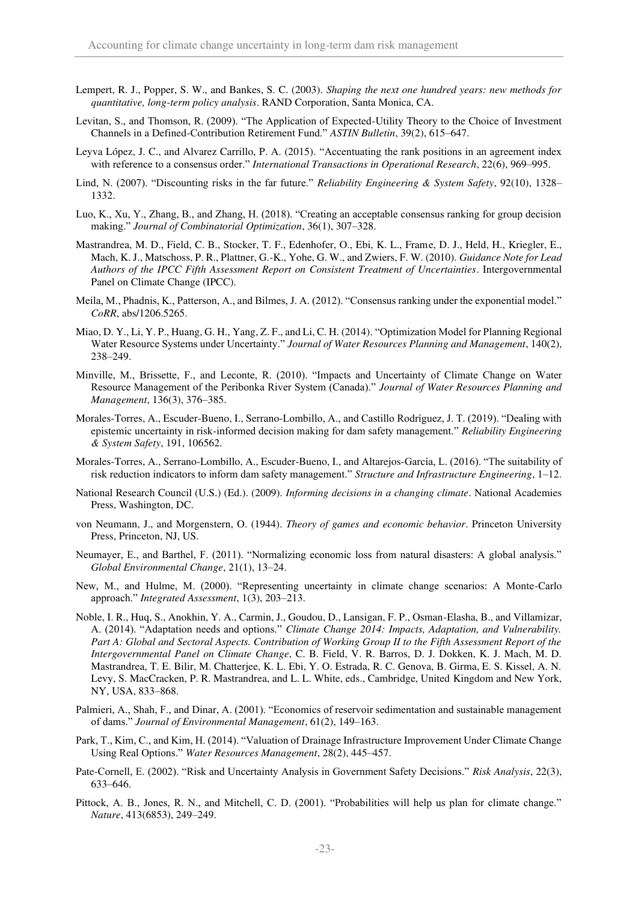- Lempert, R. J., Popper, S. W., and Bankes, S. C. (2003). *Shaping the next one hundred years: new methods for quantitative, long-term policy analysis*. RAND Corporation, Santa Monica, CA.
- Levitan, S., and Thomson, R. (2009). "The Application of Expected-Utility Theory to the Choice of Investment Channels in a Defined-Contribution Retirement Fund." *ASTIN Bulletin*, 39(2), 615–647.
- Leyva López, J. C., and Alvarez Carrillo, P. A. (2015). "Accentuating the rank positions in an agreement index with reference to a consensus order." *International Transactions in Operational Research*, 22(6), 969–995.
- Lind, N. (2007). "Discounting risks in the far future." *Reliability Engineering & System Safety*, 92(10), 1328– 1332.
- Luo, K., Xu, Y., Zhang, B., and Zhang, H. (2018). "Creating an acceptable consensus ranking for group decision making." *Journal of Combinatorial Optimization*, 36(1), 307–328.
- Mastrandrea, M. D., Field, C. B., Stocker, T. F., Edenhofer, O., Ebi, K. L., Frame, D. J., Held, H., Kriegler, E., Mach, K. J., Matschoss, P. R., Plattner, G.-K., Yohe, G. W., and Zwiers, F. W. (2010). *Guidance Note for Lead Authors of the IPCC Fifth Assessment Report on Consistent Treatment of Uncertainties*. Intergovernmental Panel on Climate Change (IPCC).
- Meila, M., Phadnis, K., Patterson, A., and Bilmes, J. A. (2012). "Consensus ranking under the exponential model." *CoRR*, abs/1206.5265.
- Miao, D. Y., Li, Y. P., Huang, G. H., Yang, Z. F., and Li, C. H. (2014). "Optimization Model for Planning Regional Water Resource Systems under Uncertainty." *Journal of Water Resources Planning and Management*, 140(2), 238–249.
- Minville, M., Brissette, F., and Leconte, R. (2010). "Impacts and Uncertainty of Climate Change on Water Resource Management of the Peribonka River System (Canada)." *Journal of Water Resources Planning and Management*, 136(3), 376–385.
- Morales-Torres, A., Escuder-Bueno, I., Serrano-Lombillo, A., and Castillo Rodríguez, J. T. (2019). "Dealing with epistemic uncertainty in risk-informed decision making for dam safety management." *Reliability Engineering & System Safety*, 191, 106562.
- Morales-Torres, A., Serrano-Lombillo, A., Escuder-Bueno, I., and Altarejos-García, L. (2016). "The suitability of risk reduction indicators to inform dam safety management." *Structure and Infrastructure Engineering*, 1–12.
- National Research Council (U.S.) (Ed.). (2009). *Informing decisions in a changing climate*. National Academies Press, Washington, DC.
- von Neumann, J., and Morgenstern, O. (1944). *Theory of games and economic behavior*. Princeton University Press, Princeton, NJ, US.
- Neumayer, E., and Barthel, F. (2011). "Normalizing economic loss from natural disasters: A global analysis." *Global Environmental Change*, 21(1), 13–24.
- New, M., and Hulme, M. (2000). "Representing uncertainty in climate change scenarios: A Monte-Carlo approach." *Integrated Assessment*, 1(3), 203–213.
- Noble, I. R., Huq, S., Anokhin, Y. A., Carmin, J., Goudou, D., Lansigan, F. P., Osman-Elasha, B., and Villamizar, A. (2014). "Adaptation needs and options." *Climate Change 2014: Impacts, Adaptation, and Vulnerability. Part A: Global and Sectoral Aspects. Contribution of Working Group II to the Fifth Assessment Report of the Intergovernmental Panel on Climate Change*, C. B. Field, V. R. Barros, D. J. Dokken, K. J. Mach, M. D. Mastrandrea, T. E. Bilir, M. Chatterjee, K. L. Ebi, Y. O. Estrada, R. C. Genova, B. Girma, E. S. Kissel, A. N. Levy, S. MacCracken, P. R. Mastrandrea, and L. L. White, eds., Cambridge, United Kingdom and New York, NY, USA, 833–868.
- Palmieri, A., Shah, F., and Dinar, A. (2001). "Economics of reservoir sedimentation and sustainable management of dams." *Journal of Environmental Management*, 61(2), 149–163.
- Park, T., Kim, C., and Kim, H. (2014). "Valuation of Drainage Infrastructure Improvement Under Climate Change Using Real Options." *Water Resources Management*, 28(2), 445–457.
- Pate-Cornell, E. (2002). "Risk and Uncertainty Analysis in Government Safety Decisions." *Risk Analysis*, 22(3), 633–646.
- Pittock, A. B., Jones, R. N., and Mitchell, C. D. (2001). "Probabilities will help us plan for climate change." *Nature*, 413(6853), 249–249.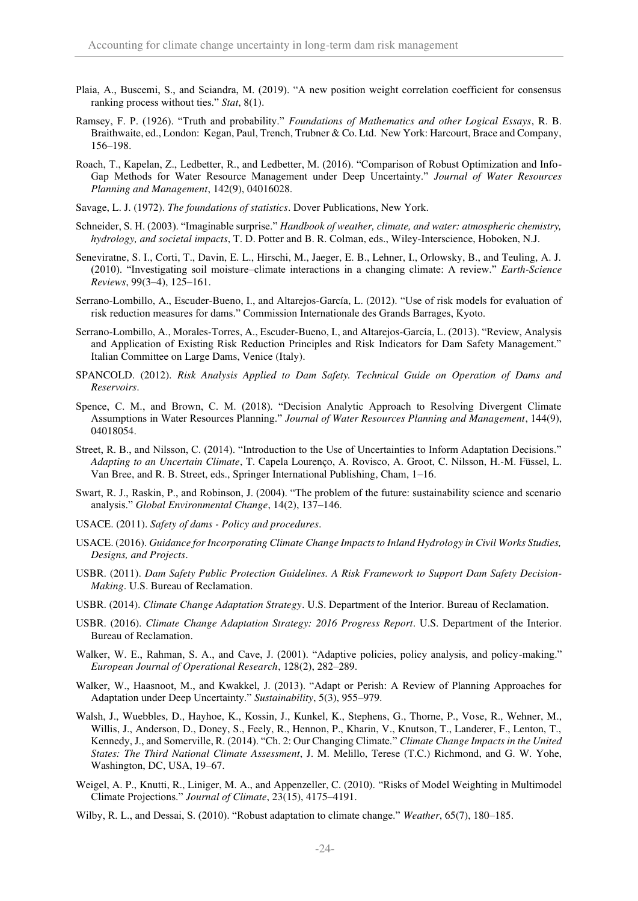- Plaia, A., Buscemi, S., and Sciandra, M. (2019). "A new position weight correlation coefficient for consensus ranking process without ties." *Stat*, 8(1).
- Ramsey, F. P. (1926). "Truth and probability." *Foundations of Mathematics and other Logical Essays*, R. B. Braithwaite, ed., London: Kegan, Paul, Trench, Trubner & Co. Ltd. New York: Harcourt, Brace and Company, 156–198.
- Roach, T., Kapelan, Z., Ledbetter, R., and Ledbetter, M. (2016). "Comparison of Robust Optimization and Info-Gap Methods for Water Resource Management under Deep Uncertainty." *Journal of Water Resources Planning and Management*, 142(9), 04016028.
- Savage, L. J. (1972). *The foundations of statistics*. Dover Publications, New York.
- Schneider, S. H. (2003). "Imaginable surprise." *Handbook of weather, climate, and water: atmospheric chemistry, hydrology, and societal impacts*, T. D. Potter and B. R. Colman, eds., Wiley-Interscience, Hoboken, N.J.
- Seneviratne, S. I., Corti, T., Davin, E. L., Hirschi, M., Jaeger, E. B., Lehner, I., Orlowsky, B., and Teuling, A. J. (2010). "Investigating soil moisture–climate interactions in a changing climate: A review." *Earth-Science Reviews*, 99(3–4), 125–161.
- Serrano-Lombillo, A., Escuder-Bueno, I., and Altarejos-García, L. (2012). "Use of risk models for evaluation of risk reduction measures for dams." Commission Internationale des Grands Barrages, Kyoto.
- Serrano-Lombillo, A., Morales-Torres, A., Escuder-Bueno, I., and Altarejos-García, L. (2013). "Review, Analysis and Application of Existing Risk Reduction Principles and Risk Indicators for Dam Safety Management." Italian Committee on Large Dams, Venice (Italy).
- SPANCOLD. (2012). *Risk Analysis Applied to Dam Safety. Technical Guide on Operation of Dams and Reservoirs*.
- Spence, C. M., and Brown, C. M. (2018). "Decision Analytic Approach to Resolving Divergent Climate Assumptions in Water Resources Planning." *Journal of Water Resources Planning and Management*, 144(9), 04018054.
- Street, R. B., and Nilsson, C. (2014). "Introduction to the Use of Uncertainties to Inform Adaptation Decisions." *Adapting to an Uncertain Climate*, T. Capela Lourenço, A. Rovisco, A. Groot, C. Nilsson, H.-M. Füssel, L. Van Bree, and R. B. Street, eds., Springer International Publishing, Cham, 1–16.
- Swart, R. J., Raskin, P., and Robinson, J. (2004). "The problem of the future: sustainability science and scenario analysis." *Global Environmental Change*, 14(2), 137–146.
- USACE. (2011). *Safety of dams Policy and procedures*.
- USACE. (2016). *Guidance for Incorporating Climate Change Impacts to Inland Hydrology in Civil Works Studies, Designs, and Projects*.
- USBR. (2011). *Dam Safety Public Protection Guidelines. A Risk Framework to Support Dam Safety Decision-Making*. U.S. Bureau of Reclamation.
- USBR. (2014). *Climate Change Adaptation Strategy*. U.S. Department of the Interior. Bureau of Reclamation.
- USBR. (2016). *Climate Change Adaptation Strategy: 2016 Progress Report*. U.S. Department of the Interior. Bureau of Reclamation.
- Walker, W. E., Rahman, S. A., and Cave, J. (2001). "Adaptive policies, policy analysis, and policy-making." *European Journal of Operational Research*, 128(2), 282–289.
- Walker, W., Haasnoot, M., and Kwakkel, J. (2013). "Adapt or Perish: A Review of Planning Approaches for Adaptation under Deep Uncertainty." *Sustainability*, 5(3), 955–979.
- Walsh, J., Wuebbles, D., Hayhoe, K., Kossin, J., Kunkel, K., Stephens, G., Thorne, P., Vose, R., Wehner, M., Willis, J., Anderson, D., Doney, S., Feely, R., Hennon, P., Kharin, V., Knutson, T., Landerer, F., Lenton, T., Kennedy, J., and Somerville, R. (2014). "Ch. 2: Our Changing Climate." *Climate Change Impacts in the United States: The Third National Climate Assessment*, J. M. Melillo, Terese (T.C.) Richmond, and G. W. Yohe, Washington, DC, USA, 19–67.
- Weigel, A. P., Knutti, R., Liniger, M. A., and Appenzeller, C. (2010). "Risks of Model Weighting in Multimodel Climate Projections." *Journal of Climate*, 23(15), 4175–4191.
- Wilby, R. L., and Dessai, S. (2010). "Robust adaptation to climate change." *Weather*, 65(7), 180–185.